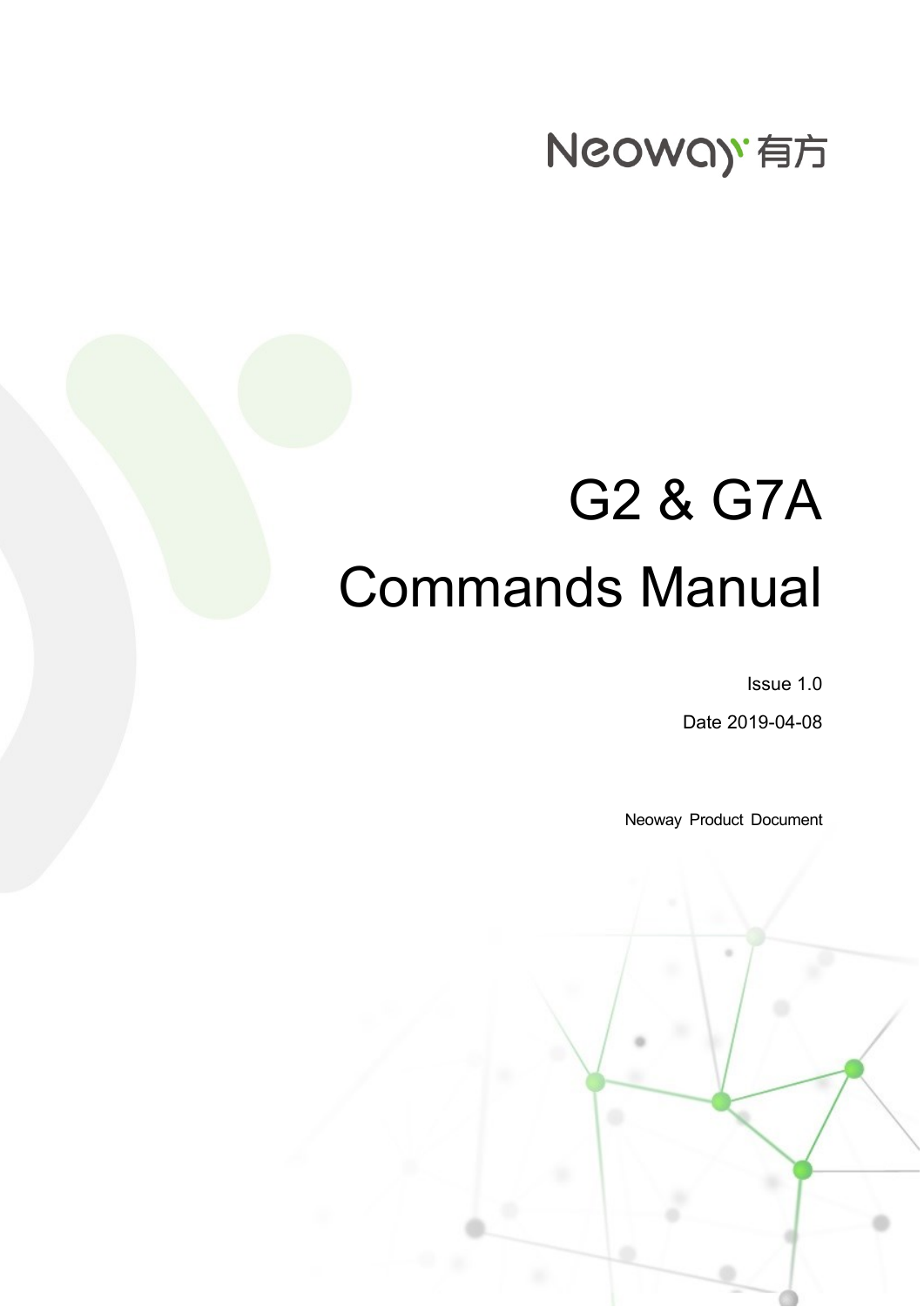## Neoway 有方

# G2 & G7A Commands Manual

Issue 1.0

Date 2019-04-08

Neoway Product Document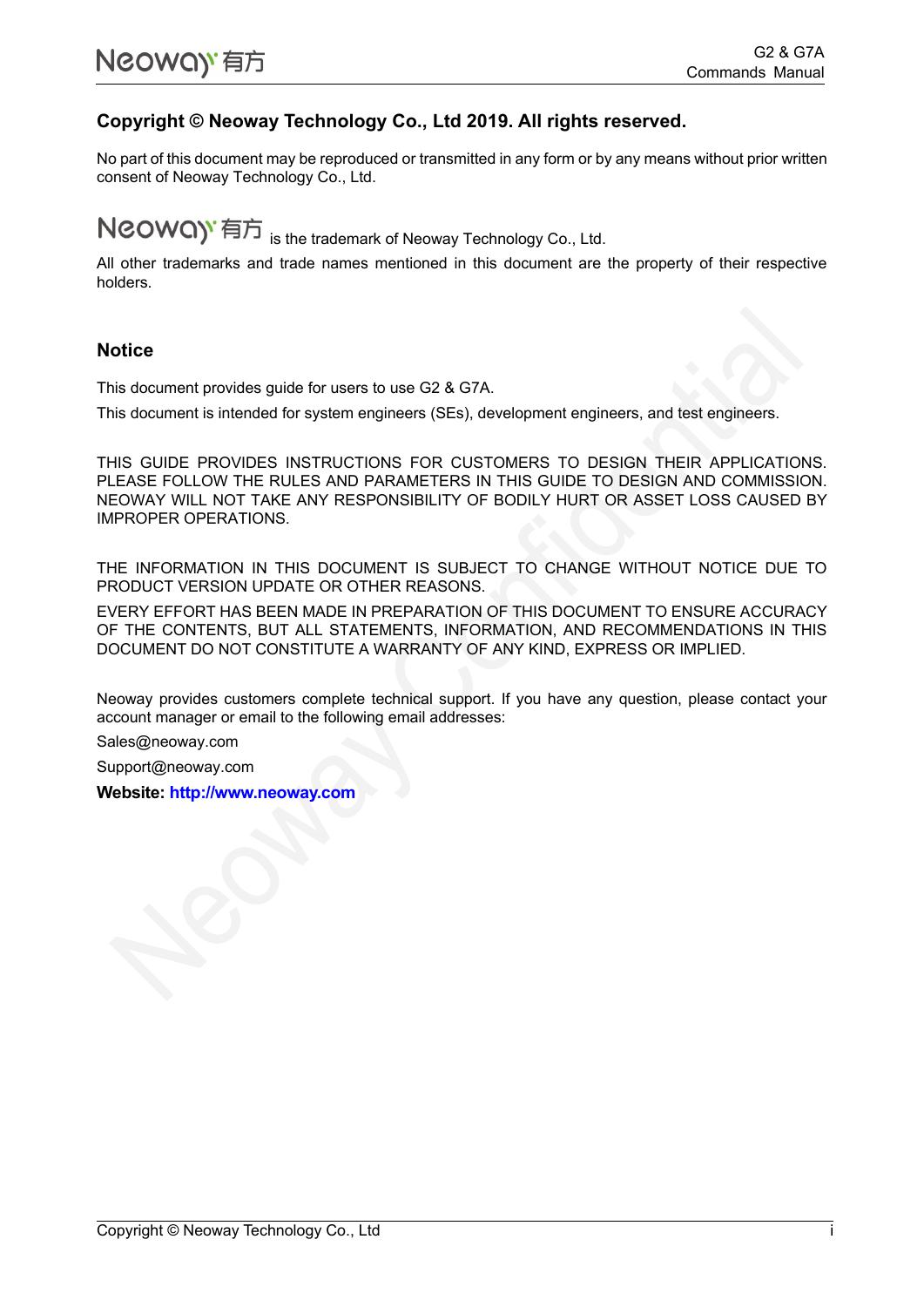#### **Copyright © Neoway Technology Co., Ltd 2019. All rights reserved.**

No part of this document may be reproduced or transmitted in any form or by any means without prior written consent of Neoway Technology Co., Ltd.

NCOWQ)<sup>'</sup> 有方 is the trademark of Neoway Technology Co., Ltd.

All other trademarks and trade names mentioned in this document are the property of their respective holders.

#### **Notice**

This document provides guide for users to use G2 & G7A.

This document is intended for system engineers (SEs), development engineers, and test engineers.

THIS GUIDE PROVIDES INSTRUCTIONS FOR CUSTOMERS TO DESIGN THEIR APPLICATIONS. PLEASE FOLLOW THE RULES AND PARAMETERS IN THIS GUIDE TO DESIGN AND COMMISSION. NEOWAY WILL NOT TAKE ANY RESPONSIBILITY OF BODILY HURT OR ASSET LOSS CAUSED BY IMPROPER OPERATIONS.

THE INFORMATION IN THIS DOCUMENT IS SUBJECT TO CHANGE WITHOUT NOTICE DUE TO PRODUCT VERSION UPDATE OR OTHER REASONS.

EVERY EFFORT HAS BEEN MADE IN PREPARATION OF THIS DOCUMENT TO ENSURE ACCURACY OF THE CONTENTS, BUT ALL STATEMENTS, INFORMATION, AND RECOMMENDATIONS IN THIS DOCUMENT DO NOT CONSTITUTE A WARRANTY OF ANY KIND, EXPRESS OR IMPLIED.

Neoway provides customers complete technical support. If you have any question, please contact your account manager or email to the following email addresses:

Sales@neoway.com

Support@neoway.com

**Website: [http://www.neoway.com](http://www.neoway.com/)**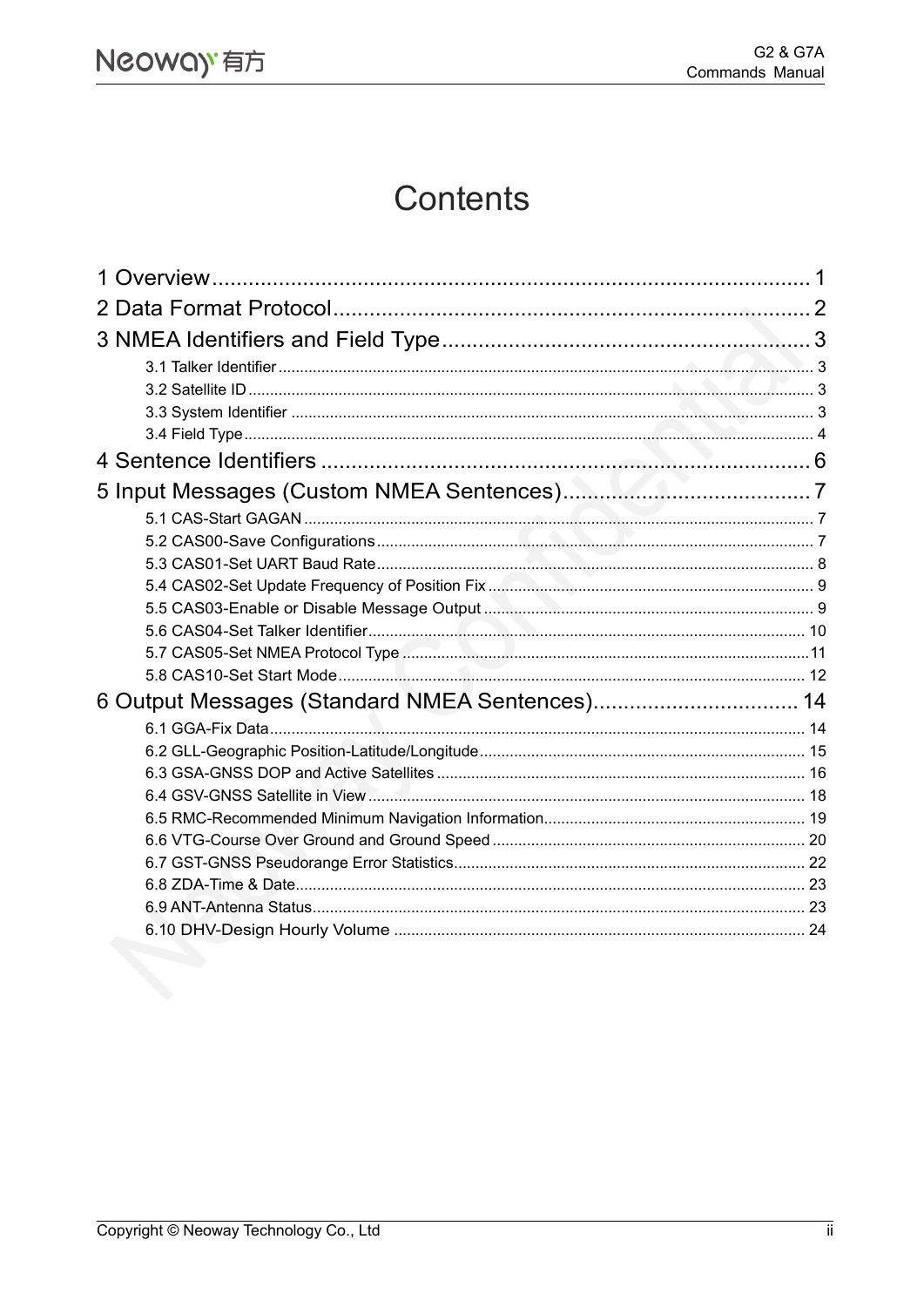## Contents

| 6 Output Messages (Standard NMEA Sentences) 14 |  |
|------------------------------------------------|--|
|                                                |  |
|                                                |  |
|                                                |  |
|                                                |  |
|                                                |  |
|                                                |  |
|                                                |  |
|                                                |  |
|                                                |  |
|                                                |  |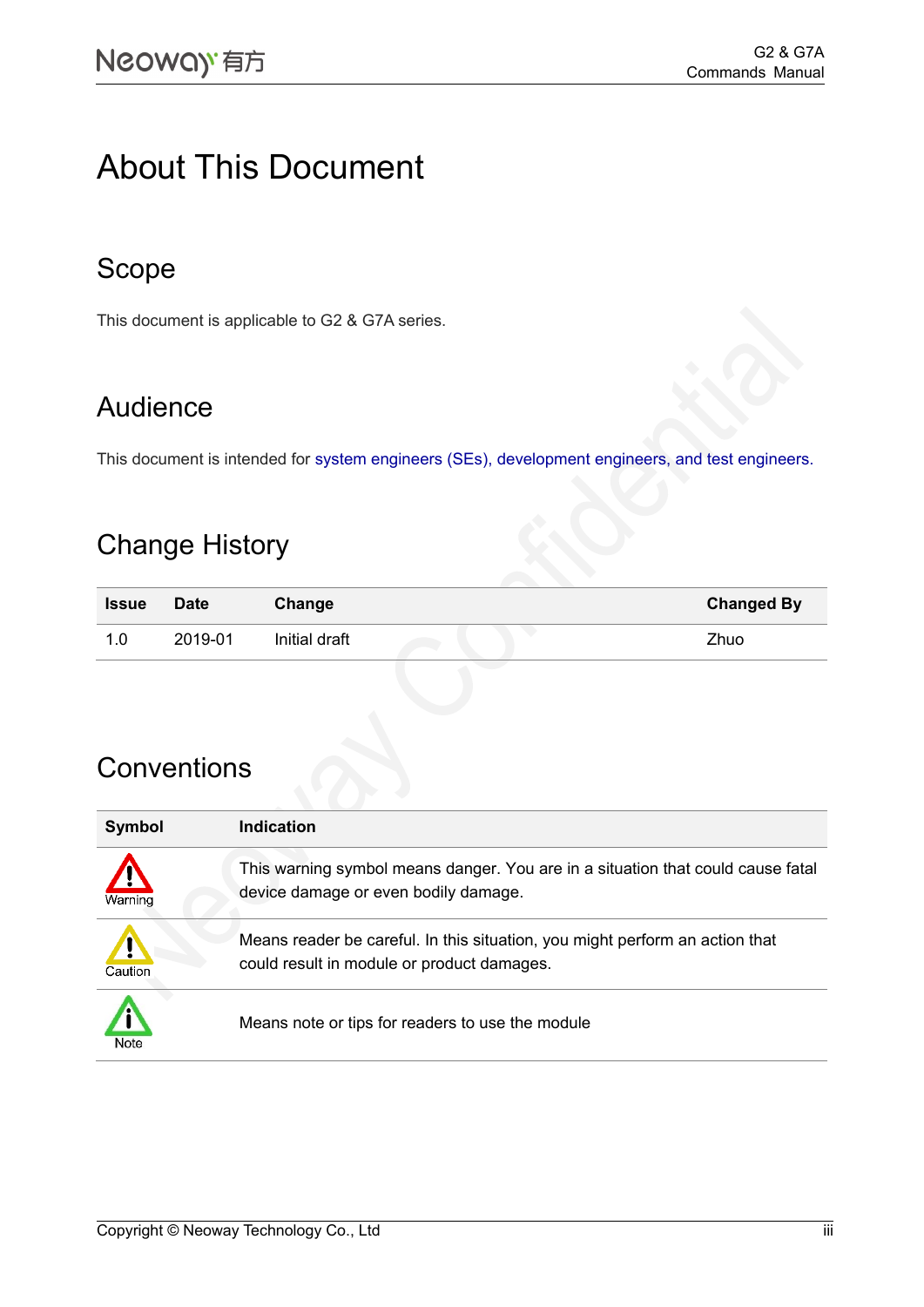## About This Document

#### Scope

This document is applicable to G2 & G7A series.

### Audience

This document is intended for system engineers (SEs), development engineers, and test engineers.

#### Change History

| <b>Issue</b> | <b>Date</b> | Change        | <b>Changed By</b> |
|--------------|-------------|---------------|-------------------|
| 0. ا<br>1.   | 2019-01     | Initial draft | Zhuo              |

#### **Conventions**

| Symbol  | Indication                                                                                                                 |
|---------|----------------------------------------------------------------------------------------------------------------------------|
| Warning | This warning symbol means danger. You are in a situation that could cause fatal<br>device damage or even bodily damage.    |
| Caution | Means reader be careful. In this situation, you might perform an action that<br>could result in module or product damages. |
| Note    | Means note or tips for readers to use the module                                                                           |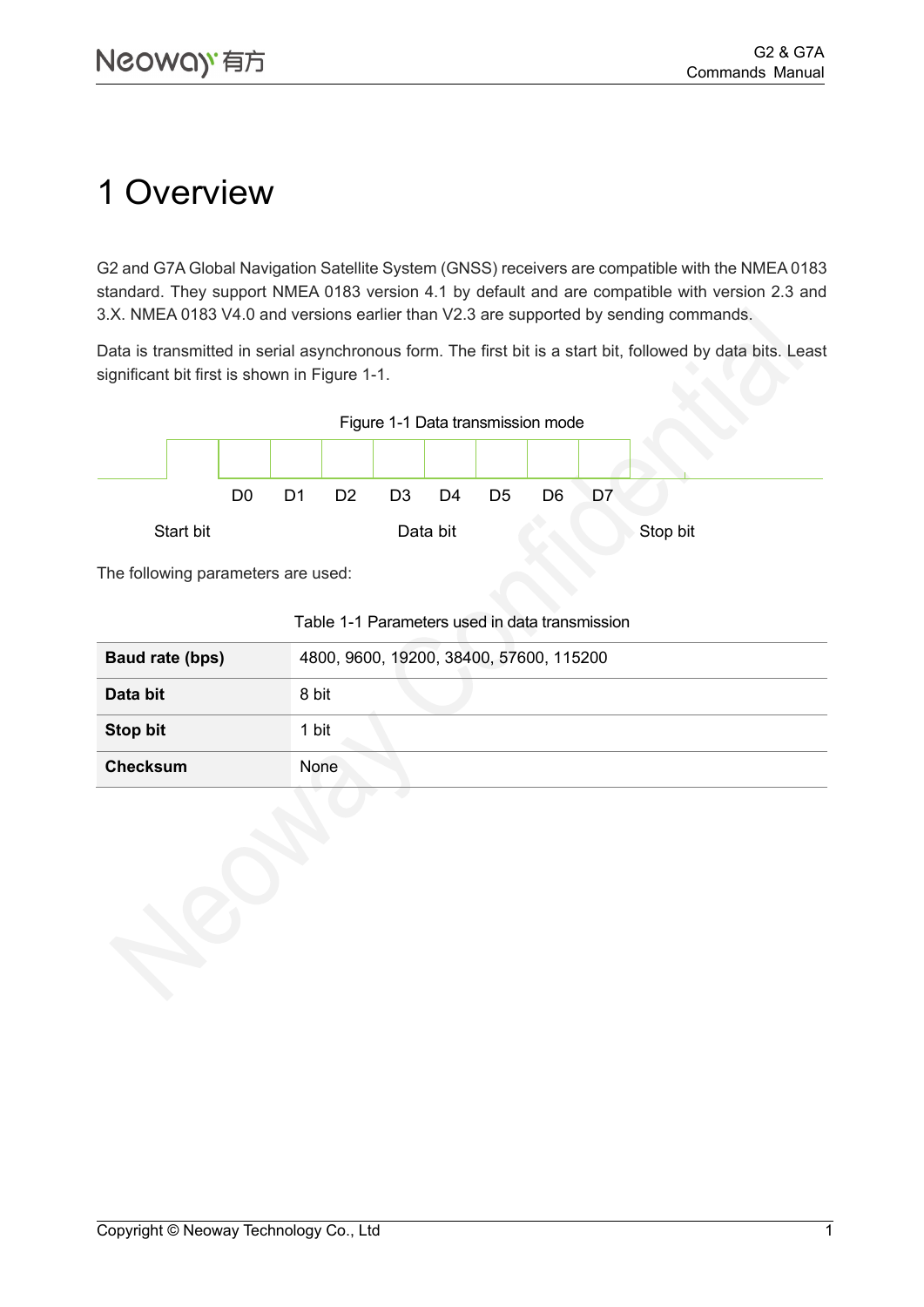## <span id="page-4-0"></span>1 Overview

G2 and G7A Global Navigation Satellite System (GNSS) receivers are compatible with the NMEA 0183 standard. They support NMEA 0183 version 4.1 by default and are compatible with version 2.3 and 3.X. NMEA 0183 V4.0 and versions earlier than V2.3 are supported by sending commands.

Data is transmitted in serial asynchronous form. The first bit is a start bit, followed by data bits. Least significant bit first is shown in [Figure 1-1.](#page-4-1)

<span id="page-4-1"></span>

The following parameters are used:

|                 | ו טוסטורוסוווטנט ווי די סוסטיס טוסטיס אינדער די די סוסט |
|-----------------|---------------------------------------------------------|
| Baud rate (bps) | 4800, 9600, 19200, 38400, 57600, 115200                 |
| Data bit        | 8 bit                                                   |
| Stop bit        | 1 bit                                                   |
| <b>Checksum</b> | None                                                    |

#### Table 1-1 Parameters used in data transmission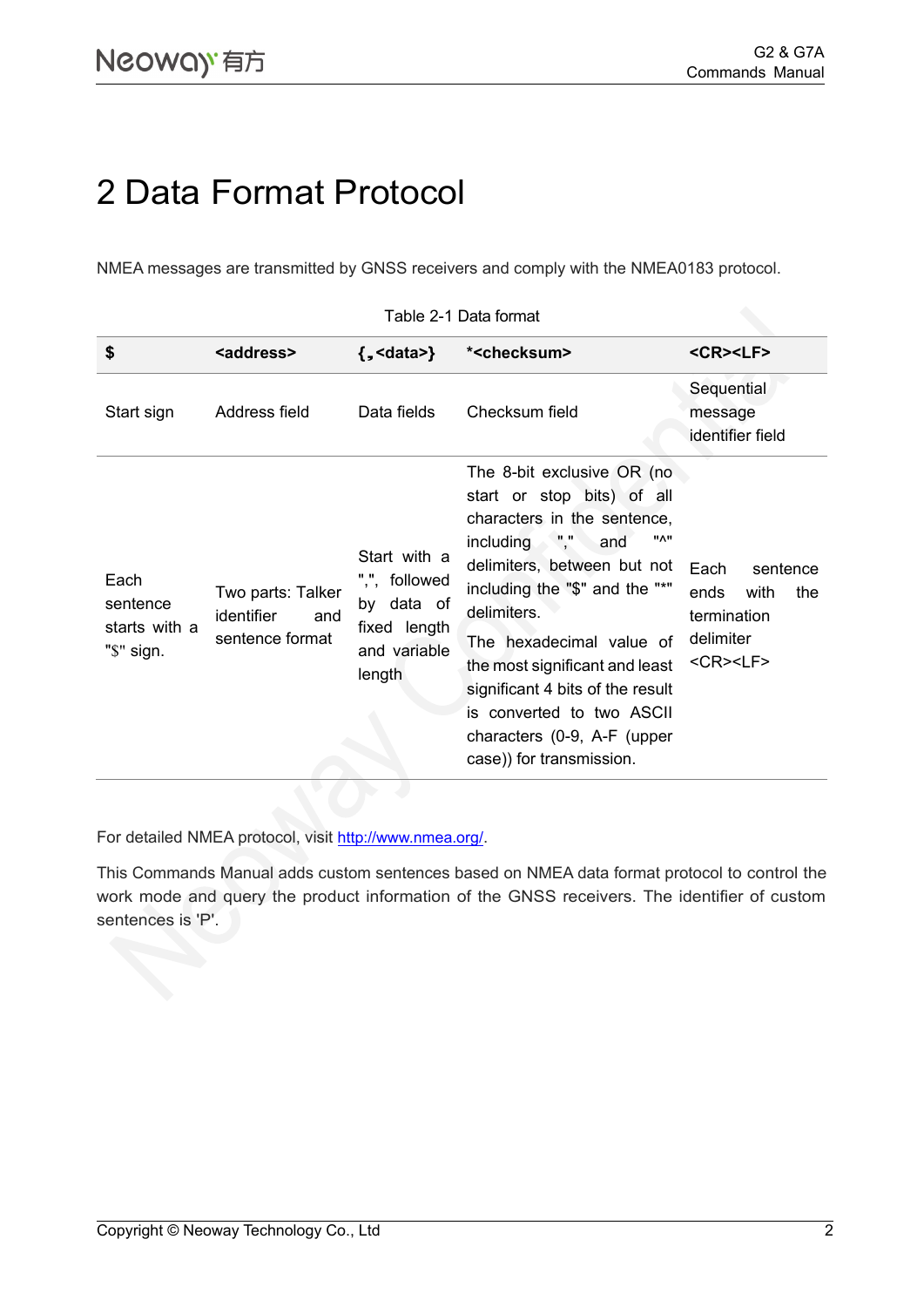## <span id="page-5-0"></span>2 Data Format Protocol

NMEA messages are transmitted by GNSS receivers and comply with the NMEA0183 protocol.

| \$                                              | <address></address>                                              | $\{$ , <data><math>\}</math></data>                                                   | * <checksum></checksum>                                                                                                                                                                                                                                                                                                                                                                                   | <cr><lf></lf></cr>                                                                                        |
|-------------------------------------------------|------------------------------------------------------------------|---------------------------------------------------------------------------------------|-----------------------------------------------------------------------------------------------------------------------------------------------------------------------------------------------------------------------------------------------------------------------------------------------------------------------------------------------------------------------------------------------------------|-----------------------------------------------------------------------------------------------------------|
| Start sign                                      | Address field                                                    | Data fields                                                                           | Checksum field                                                                                                                                                                                                                                                                                                                                                                                            | Sequential<br>message<br>identifier field                                                                 |
| Each<br>sentence<br>starts with a<br>"\$" sign. | Two parts: Talker<br><i>identifier</i><br>and<br>sentence format | Start with a<br>",", followed<br>by data of<br>fixed length<br>and variable<br>length | The 8-bit exclusive OR (no<br>start or stop bits) of all<br>characters in the sentence,<br><b>"^"</b><br>including , ","<br>and<br>delimiters, between but not<br>including the "\$" and the "*"<br>delimiters.<br>The hexadecimal value of<br>the most significant and least<br>significant 4 bits of the result<br>is converted to two ASCII<br>characters (0-9, A-F (upper<br>case)) for transmission. | Each<br>sentence<br>ends<br>with<br>the<br>termination<br>delimiter<br>$<$ CR $>$ <lf<math>&gt;</lf<math> |

#### Table 2-1 Data format

For detailed NMEA protocol, visit <http://www.nmea.org/>.

This Commands Manual adds custom sentences based on NMEA data format protocol to control the work mode and query the product information of the GNSS receivers. The identifier of custom sentences is 'P'.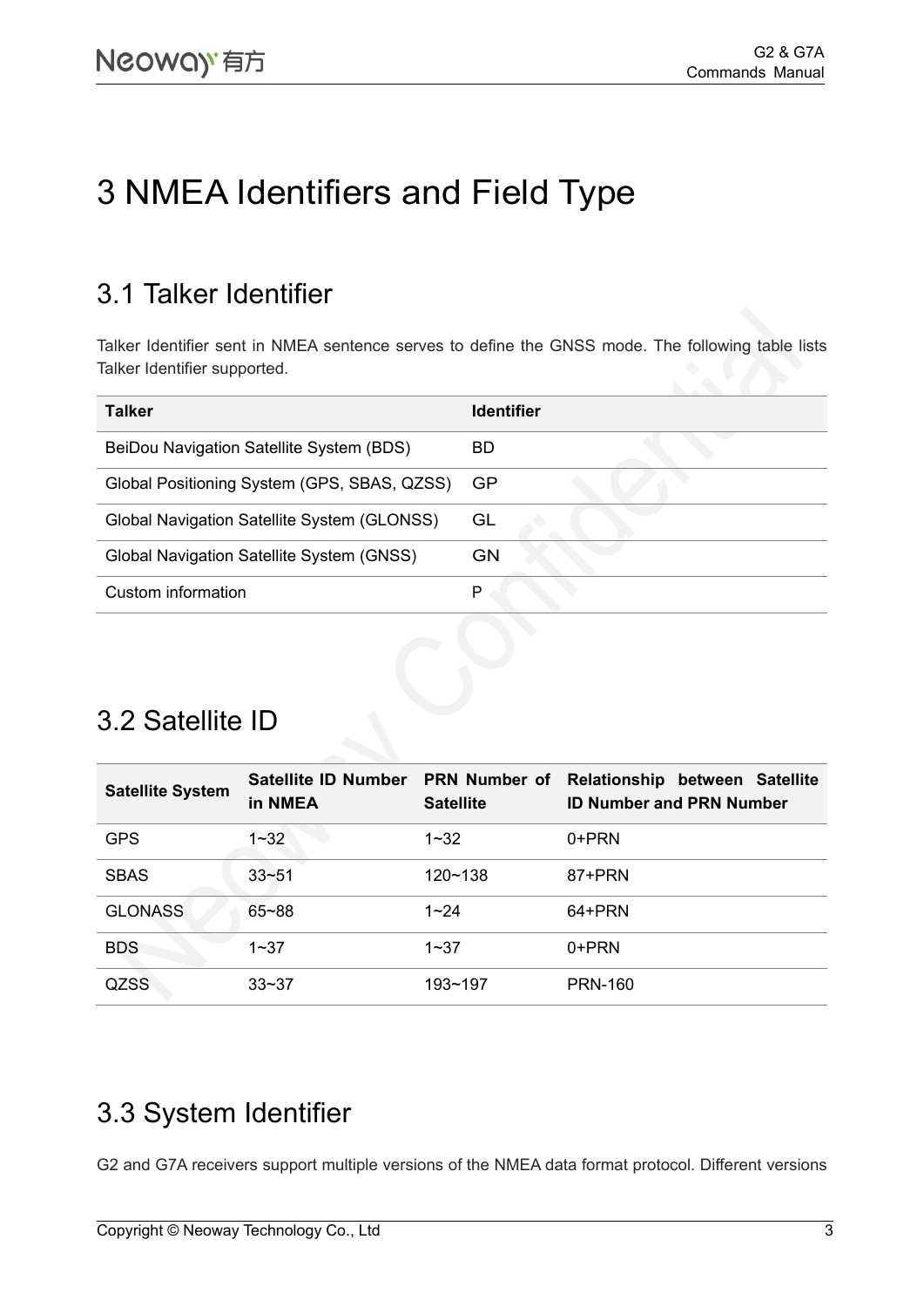## <span id="page-6-0"></span>3 NMEA Identifiers and Field Type

#### <span id="page-6-1"></span>3.1 Talker Identifier

Talker Identifier sent in NMEA sentence serves to define the GNSS mode. The following table lists Talker Identifier supported.

| <b>Talker</b>                               | <b>Identifier</b> |
|---------------------------------------------|-------------------|
| BeiDou Navigation Satellite System (BDS)    | BD                |
| Global Positioning System (GPS, SBAS, QZSS) | GP                |
| Global Navigation Satellite System (GLONSS) | GL                |
| Global Navigation Satellite System (GNSS)   | GN                |
| Custom information                          | P                 |
|                                             |                   |

#### <span id="page-6-2"></span>3.2 Satellite ID

| <b>Satellite System</b> | <b>Satellite ID Number</b><br>in NMEA | <b>PRN Number of</b><br><b>Satellite</b> | Relationship between Satellite<br><b>ID Number and PRN Number</b> |
|-------------------------|---------------------------------------|------------------------------------------|-------------------------------------------------------------------|
| <b>GPS</b>              | $1 - 32$                              | $1 - 32$                                 | 0+PRN                                                             |
| <b>SBAS</b>             | $33 - 51$                             | $120 - 138$                              | 87+PRN                                                            |
| <b>GLONASS</b>          | $65 - 88$                             | $1 - 24$                                 | 64+PRN                                                            |
| <b>BDS</b>              | $1 - 37$                              | $1 - 37$                                 | 0+PRN                                                             |
| <b>QZSS</b>             | $33 - 37$                             | 193~197                                  | <b>PRN-160</b>                                                    |

### <span id="page-6-3"></span>3.3 System Identifier

G2 and G7A receivers support multiple versions of the NMEA data format protocol. Different versions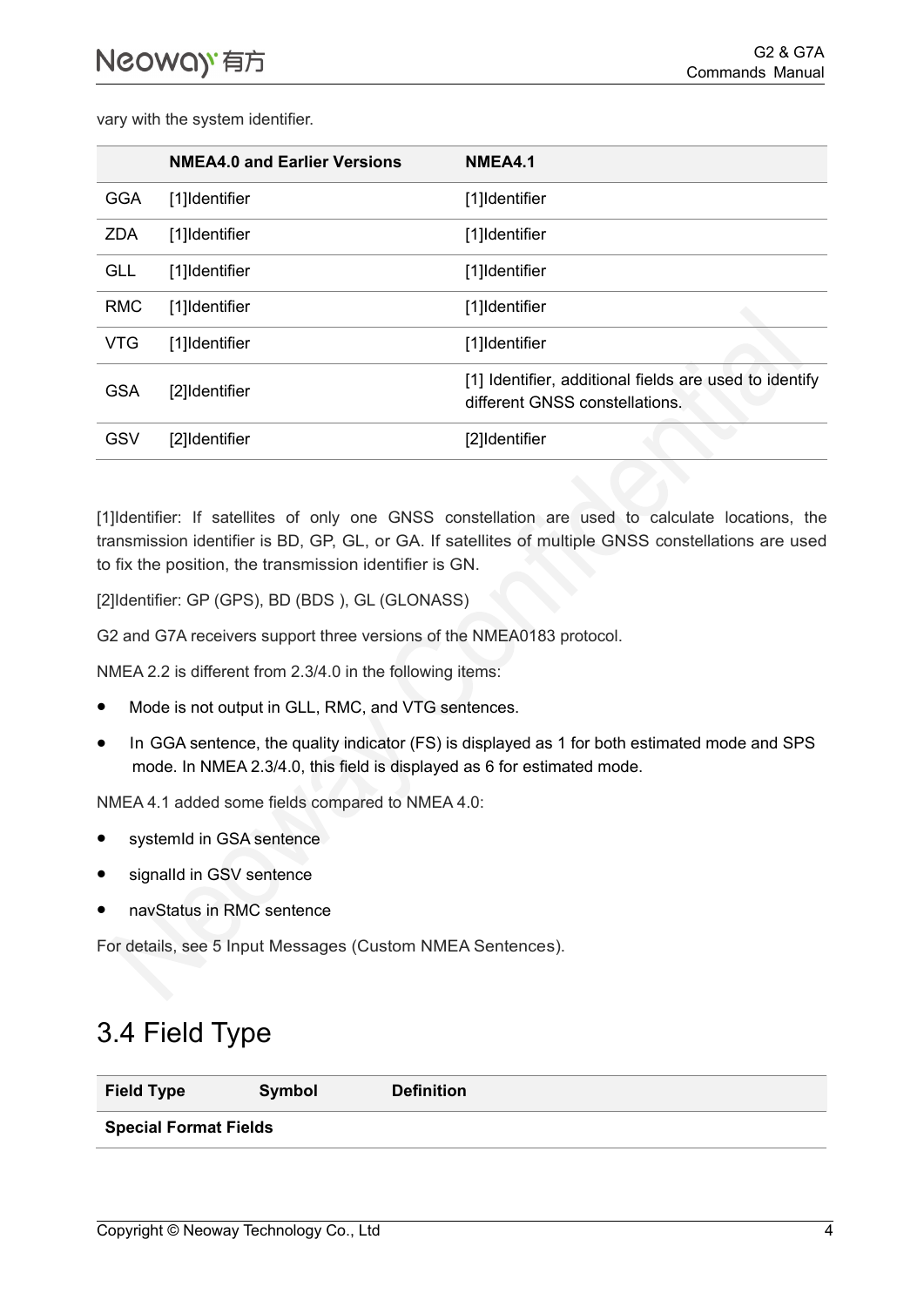vary with the system identifier.

|            | <b>NMEA4.0 and Earlier Versions</b> | NMEA4.1                                                                                  |
|------------|-------------------------------------|------------------------------------------------------------------------------------------|
| <b>GGA</b> | [1]Identifier                       | [1]Identifier                                                                            |
| <b>ZDA</b> | [1]Identifier                       | [1]Identifier                                                                            |
| <b>GLL</b> | [1]Identifier                       | [1]Identifier                                                                            |
| <b>RMC</b> | [1]Identifier                       | [1]Identifier                                                                            |
| <b>VTG</b> | [1]Identifier                       | [1]Identifier                                                                            |
| <b>GSA</b> | [2]Identifier                       | [1] Identifier, additional fields are used to identify<br>different GNSS constellations. |
| GSV        | [2]Identifier                       | [2]Identifier                                                                            |
|            |                                     |                                                                                          |

[1]Identifier: If satellites of only one GNSS constellation are used to calculate locations, the transmission identifier is BD, GP, GL, or GA. If satellites of multiple GNSS constellations are used to fix the position, the transmission identifier is GN.

[2]Identifier: GP (GPS), BD (BDS ), GL (GLONASS)

G2 and G7A receivers support three versions of the NMEA0183 protocol.

NMEA 2.2 is different from 2.3/4.0 in the following items:

- Mode is not output in GLL, RMC, and VTG sentences.
- In GGA sentence, the quality indicator (FS) is displayed as 1 for both estimated mode and SPS mode. In NMEA 2.3/4.0, this field is displayed as 6 for estimated mode.

NMEA 4.1 added some fields compared to NMEA 4.0:

- systemId in GSA sentence
- signalId in GSV sentence
- navStatus in RMC sentence

<span id="page-7-0"></span>For details, see [5 Input Messages \(Custom NMEA Sentences\).](#page-10-0)

#### 3.4 Field Type

| <b>Field Type</b>            | Symbol | <b>Definition</b> |  |
|------------------------------|--------|-------------------|--|
| <b>Special Format Fields</b> |        |                   |  |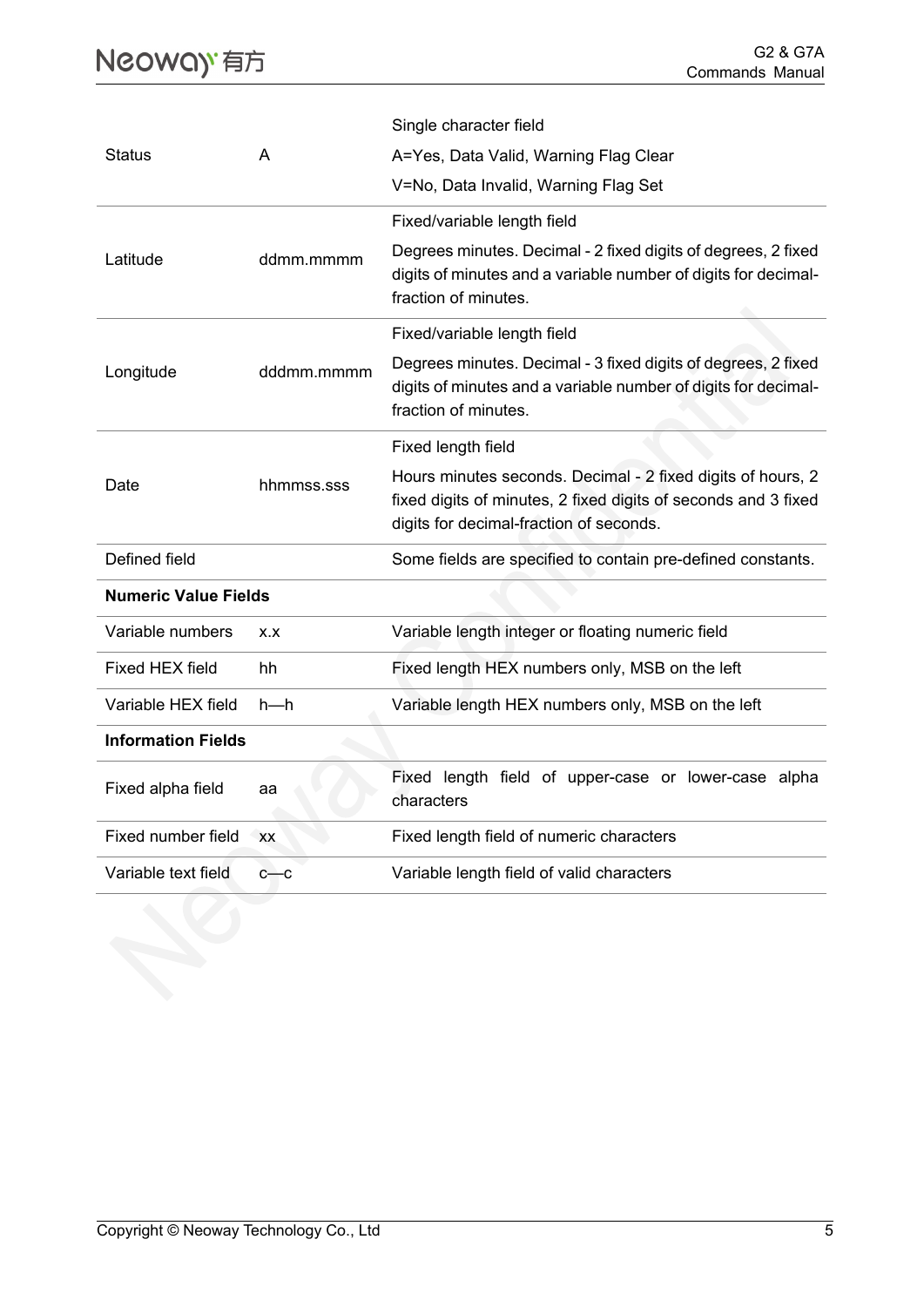|                             |            | Single character field                                                                                                                                                   |
|-----------------------------|------------|--------------------------------------------------------------------------------------------------------------------------------------------------------------------------|
| <b>Status</b>               | A          | A=Yes, Data Valid, Warning Flag Clear                                                                                                                                    |
|                             |            | V=No, Data Invalid, Warning Flag Set                                                                                                                                     |
|                             |            | Fixed/variable length field                                                                                                                                              |
| Latitude                    | ddmm.mmmm  | Degrees minutes. Decimal - 2 fixed digits of degrees, 2 fixed<br>digits of minutes and a variable number of digits for decimal-<br>fraction of minutes.                  |
|                             |            | Fixed/variable length field                                                                                                                                              |
| Longitude                   | dddmm.mmmm | Degrees minutes. Decimal - 3 fixed digits of degrees, 2 fixed<br>digits of minutes and a variable number of digits for decimal-<br>fraction of minutes.                  |
|                             |            | Fixed length field                                                                                                                                                       |
| Date                        | hhmmss.sss | Hours minutes seconds. Decimal - 2 fixed digits of hours, 2<br>fixed digits of minutes, 2 fixed digits of seconds and 3 fixed<br>digits for decimal-fraction of seconds. |
| Defined field               |            | Some fields are specified to contain pre-defined constants.                                                                                                              |
| <b>Numeric Value Fields</b> |            |                                                                                                                                                                          |
| Variable numbers            | X.X        | Variable length integer or floating numeric field                                                                                                                        |
| <b>Fixed HEX field</b>      | hh         | Fixed length HEX numbers only, MSB on the left                                                                                                                           |
| Variable HEX field          | $h-h$      | Variable length HEX numbers only, MSB on the left                                                                                                                        |
| <b>Information Fields</b>   |            |                                                                                                                                                                          |
| Fixed alpha field           | аа         | Fixed length field of upper-case or lower-case alpha<br>characters                                                                                                       |
| Fixed number field          | <b>XX</b>  | Fixed length field of numeric characters                                                                                                                                 |
| Variable text field         | $c$ — $c$  | Variable length field of valid characters                                                                                                                                |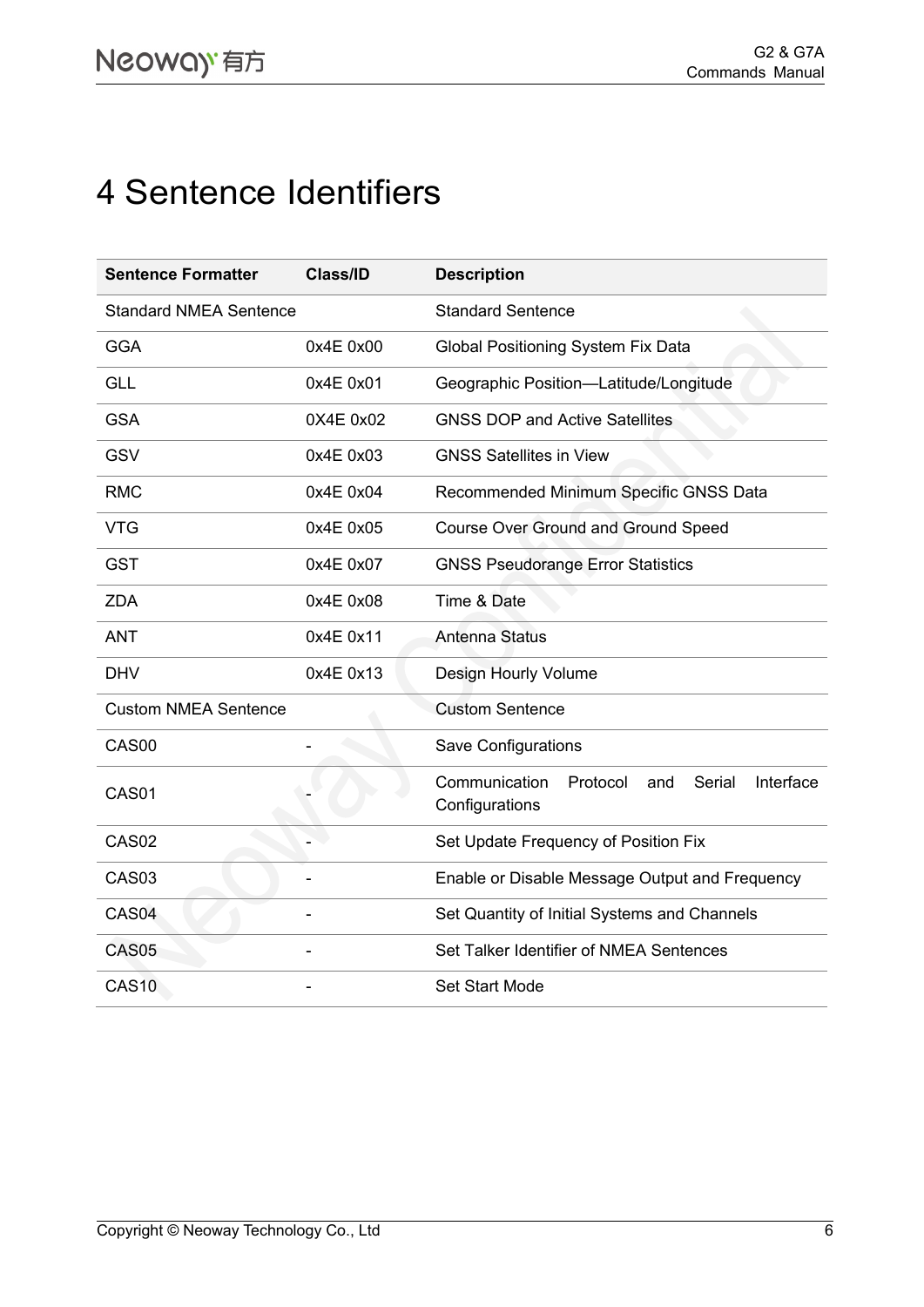## <span id="page-9-0"></span>4 Sentence Identifiers

| <b>Sentence Formatter</b>     | <b>Class/ID</b> | <b>Description</b>                                                        |
|-------------------------------|-----------------|---------------------------------------------------------------------------|
| <b>Standard NMEA Sentence</b> |                 | <b>Standard Sentence</b>                                                  |
| <b>GGA</b>                    | 0x4E 0x00       | <b>Global Positioning System Fix Data</b>                                 |
| <b>GLL</b>                    | 0x4E 0x01       | Geographic Position-Latitude/Longitude                                    |
| <b>GSA</b>                    | 0X4E 0x02       | <b>GNSS DOP and Active Satellites</b>                                     |
| <b>GSV</b>                    | 0x4E 0x03       | <b>GNSS Satellites in View</b>                                            |
| <b>RMC</b>                    | 0x4E 0x04       | Recommended Minimum Specific GNSS Data                                    |
| <b>VTG</b>                    | 0x4E 0x05       | <b>Course Over Ground and Ground Speed</b>                                |
| <b>GST</b>                    | 0x4E 0x07       | <b>GNSS Pseudorange Error Statistics</b>                                  |
| <b>ZDA</b>                    | 0x4E 0x08       | Time & Date                                                               |
| <b>ANT</b>                    | 0x4E 0x11       | <b>Antenna Status</b>                                                     |
| <b>DHV</b>                    | 0x4E 0x13       | Design Hourly Volume                                                      |
| <b>Custom NMEA Sentence</b>   |                 | <b>Custom Sentence</b>                                                    |
| CAS00                         |                 | <b>Save Configurations</b>                                                |
| CAS01                         |                 | Communication<br>Serial<br>Interface<br>Protocol<br>and<br>Configurations |
| CAS <sub>02</sub>             |                 | Set Update Frequency of Position Fix                                      |
| CAS <sub>03</sub>             |                 | Enable or Disable Message Output and Frequency                            |
| CAS <sub>04</sub>             |                 | Set Quantity of Initial Systems and Channels                              |
| CAS <sub>05</sub>             |                 | Set Talker Identifier of NMEA Sentences                                   |
| <b>CAS10</b>                  |                 | <b>Set Start Mode</b>                                                     |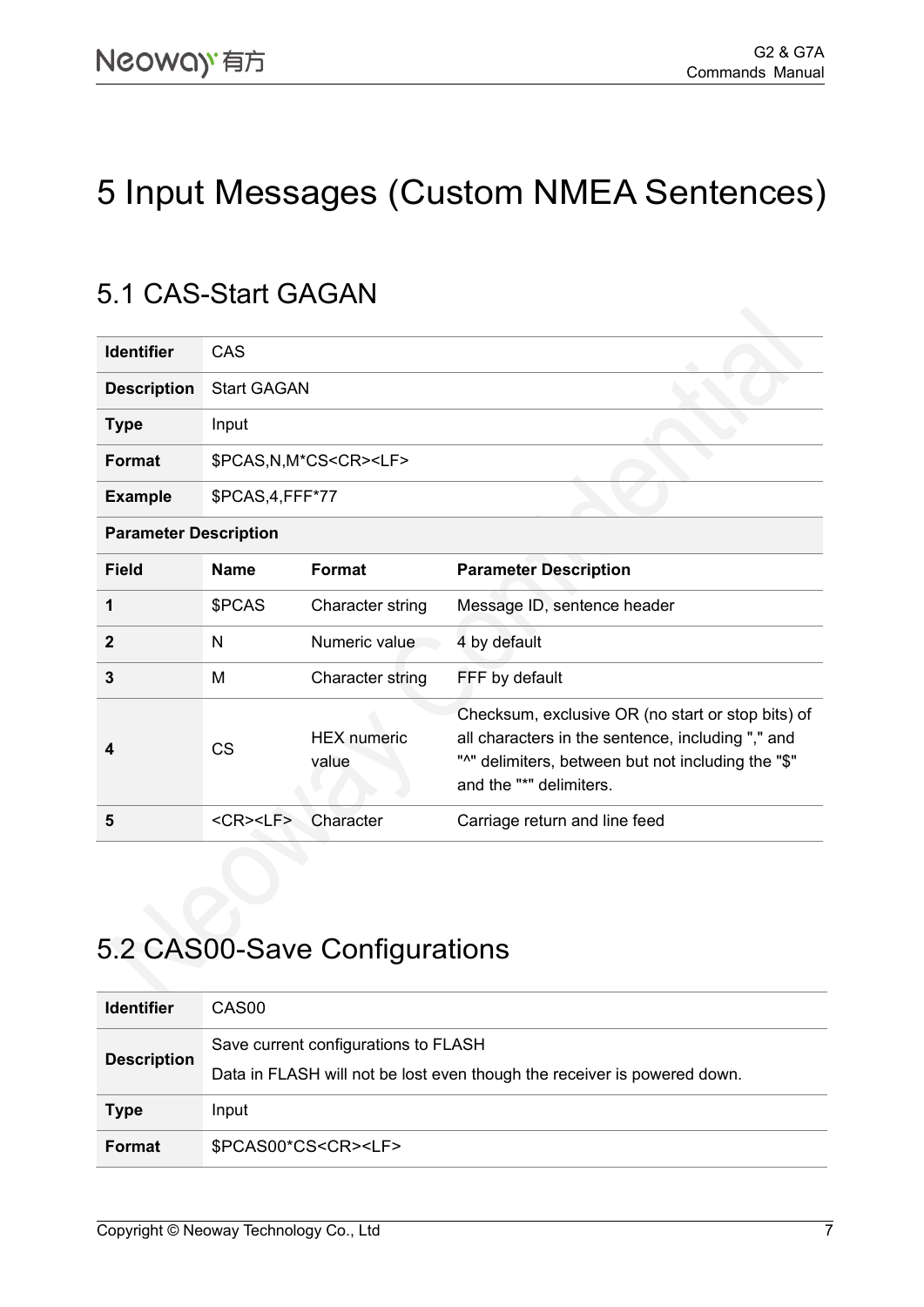## <span id="page-10-0"></span>5 Input Messages (Custom NMEA Sentences)

### <span id="page-10-1"></span>5.1 CAS-Start GAGAN

| <b>Identifier</b>            | CAS                                |                                    |                                                                                                                                                                                         |
|------------------------------|------------------------------------|------------------------------------|-----------------------------------------------------------------------------------------------------------------------------------------------------------------------------------------|
| <b>Description</b>           | <b>Start GAGAN</b>                 |                                    |                                                                                                                                                                                         |
| <b>Type</b>                  | Input                              |                                    |                                                                                                                                                                                         |
| <b>Format</b>                |                                    | \$PCAS, N, M*CS <cr><lf></lf></cr> |                                                                                                                                                                                         |
| <b>Example</b>               | \$PCAS,4,FFF*77                    |                                    |                                                                                                                                                                                         |
| <b>Parameter Description</b> |                                    |                                    |                                                                                                                                                                                         |
| <b>Field</b>                 | <b>Name</b>                        | <b>Format</b>                      | <b>Parameter Description</b>                                                                                                                                                            |
| 1                            | \$PCAS                             | Character string                   | Message ID, sentence header                                                                                                                                                             |
| $\mathbf{2}$                 | N                                  | Numeric value                      | 4 by default                                                                                                                                                                            |
| 3                            | М                                  | Character string                   | FFF by default                                                                                                                                                                          |
| 4                            | <b>CS</b>                          | <b>HEX</b> numeric<br>value        | Checksum, exclusive OR (no start or stop bits) of<br>all characters in the sentence, including "," and<br>"^" delimiters, between but not including the "\$"<br>and the "*" delimiters. |
| 5                            | $<$ CR $>$ <lf<math>&gt;</lf<math> | Character                          | Carriage return and line feed                                                                                                                                                           |

### <span id="page-10-2"></span>5.2 CAS00-Save Configurations

| <b>Identifier</b>  | CAS <sub>00</sub>                                                                                                |
|--------------------|------------------------------------------------------------------------------------------------------------------|
| <b>Description</b> | Save current configurations to FLASH<br>Data in FLASH will not be lost even though the receiver is powered down. |
| <b>Type</b>        | Input                                                                                                            |
| <b>Format</b>      | \$PCAS00*CS <cr><lf></lf></cr>                                                                                   |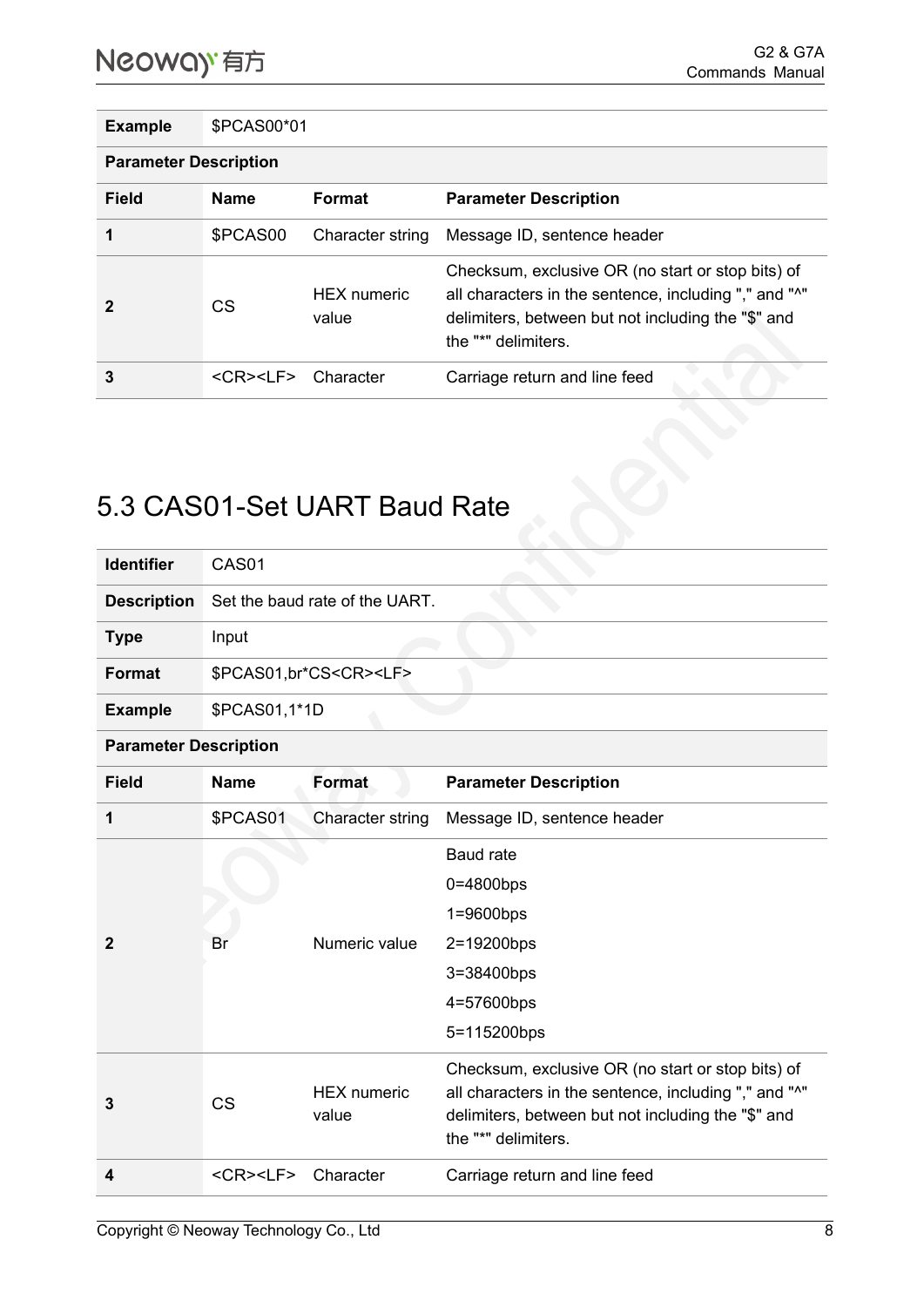**Example** \$PCAS00\*01

**Parameter Description**

| Field          | <b>Name</b>            | <b>Format</b>               | <b>Parameter Description</b>                                                                                                                                                            |
|----------------|------------------------|-----------------------------|-----------------------------------------------------------------------------------------------------------------------------------------------------------------------------------------|
|                | \$PCAS00               | Character string            | Message ID, sentence header                                                                                                                                                             |
| $\overline{2}$ | CS                     | <b>HEX</b> numeric<br>value | Checksum, exclusive OR (no start or stop bits) of<br>all characters in the sentence, including "," and "^"<br>delimiters, between but not including the "\$" and<br>the "*" delimiters. |
| 3              | $<$ CR $>$ $<$ l F $>$ | Character                   | Carriage return and line feed                                                                                                                                                           |

### <span id="page-11-0"></span>5.3 CAS01-Set UART Baud Rate

| <b>Identifier</b>            | CAS01                              |                                   |                                                                                                             |  |  |
|------------------------------|------------------------------------|-----------------------------------|-------------------------------------------------------------------------------------------------------------|--|--|
| <b>Description</b>           |                                    | Set the baud rate of the UART.    |                                                                                                             |  |  |
| <b>Type</b>                  | Input                              |                                   |                                                                                                             |  |  |
| <b>Format</b>                |                                    | \$PCAS01,br*CS <cr><lf></lf></cr> |                                                                                                             |  |  |
| <b>Example</b>               | \$PCAS01,1*1D                      |                                   |                                                                                                             |  |  |
| <b>Parameter Description</b> |                                    |                                   |                                                                                                             |  |  |
| <b>Field</b>                 | <b>Name</b>                        | <b>Format</b>                     | <b>Parameter Description</b>                                                                                |  |  |
| 1                            | \$PCAS01                           | Character string                  | Message ID, sentence header                                                                                 |  |  |
|                              | Br                                 | Numeric value                     | <b>Baud rate</b>                                                                                            |  |  |
|                              |                                    |                                   | $0=4800$ bps                                                                                                |  |  |
|                              |                                    |                                   | $1=9600bps$                                                                                                 |  |  |
| $\mathbf{2}$                 |                                    |                                   | 2=19200bps                                                                                                  |  |  |
|                              |                                    |                                   | 3=38400bps                                                                                                  |  |  |
|                              |                                    |                                   | 4=57600bps                                                                                                  |  |  |
|                              |                                    |                                   | 5=115200bps                                                                                                 |  |  |
| 3                            | <b>CS</b>                          | <b>HEX</b> numeric<br>value       | Checksum, exclusive OR (no start or stop bits) of                                                           |  |  |
|                              |                                    |                                   | all characters in the sentence, including "," and "^"<br>delimiters, between but not including the "\$" and |  |  |
|                              |                                    |                                   | the "*" delimiters.                                                                                         |  |  |
| 4                            | $<$ CR $>$ <lf<math>&gt;</lf<math> | Character                         | Carriage return and line feed                                                                               |  |  |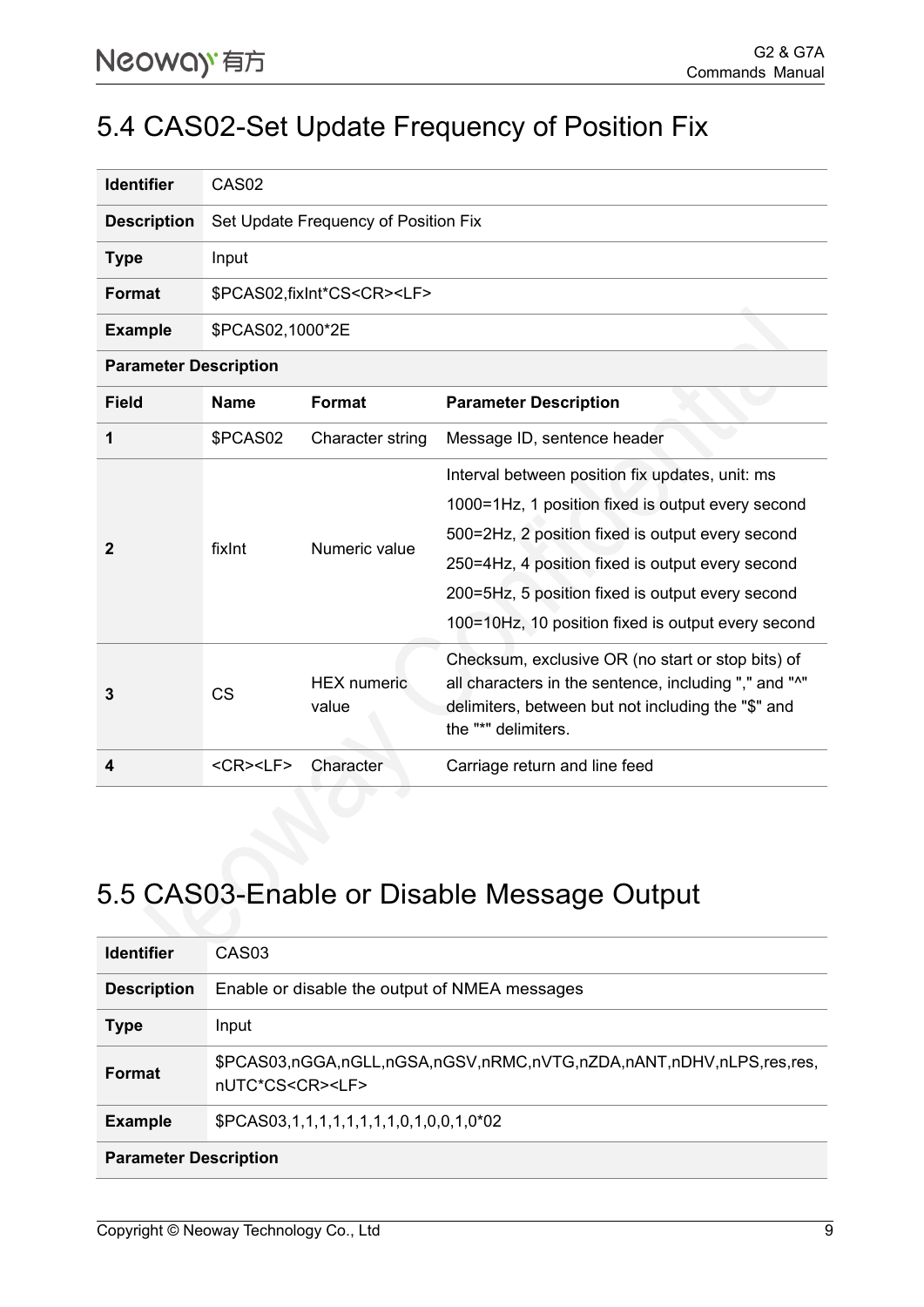#### <span id="page-12-0"></span>5.4 CAS02-Set Update Frequency of Position Fix

| <b>Identifier</b>  | CAS <sub>02</sub>                     |
|--------------------|---------------------------------------|
| <b>Description</b> | Set Update Frequency of Position Fix  |
| <b>Type</b>        | Input                                 |
| <b>Format</b>      | \$PCAS02,fixInt*CS <cr><lf></lf></cr> |
| <b>Example</b>     | \$PCAS02,1000*2E                      |

**Parameter Description**

| <b>Field</b> | <b>Name</b>        | Format                      | <b>Parameter Description</b>                                                                                                                                                                                                                                                                                           |
|--------------|--------------------|-----------------------------|------------------------------------------------------------------------------------------------------------------------------------------------------------------------------------------------------------------------------------------------------------------------------------------------------------------------|
|              | \$PCAS02           | Character string            | Message ID, sentence header                                                                                                                                                                                                                                                                                            |
|              | fixInt             | Numeric value               | Interval between position fix updates, unit: ms<br>1000=1Hz, 1 position fixed is output every second<br>500=2Hz, 2 position fixed is output every second<br>250=4Hz, 4 position fixed is output every second<br>200=5Hz, 5 position fixed is output every second<br>100=10Hz, 10 position fixed is output every second |
| 3            | <b>CS</b>          | <b>HEX</b> numeric<br>value | Checksum, exclusive OR (no start or stop bits) of<br>all characters in the sentence, including "," and "^"<br>delimiters, between but not including the "\$" and<br>the "*" delimiters.                                                                                                                                |
| 4            | <cr><lf></lf></cr> | Character                   | Carriage return and line feed                                                                                                                                                                                                                                                                                          |

### <span id="page-12-1"></span>5.5 CAS03-Enable or Disable Message Output

| <b>Identifier</b>            | CAS <sub>03</sub>                                                                                 |
|------------------------------|---------------------------------------------------------------------------------------------------|
| <b>Description</b>           | Enable or disable the output of NMEA messages                                                     |
| <b>Type</b>                  | Input                                                                                             |
| <b>Format</b>                | \$PCAS03,nGGA,nGLL,nGSA,nGSV,nRMC,nVTG,nZDA,nANT,nDHV,nLPS,res,res,<br>nUTC*CS <cr><lf></lf></cr> |
| <b>Example</b>               | \$PCAS03,1,1,1,1,1,1,1,1,0,1,0,0,1,0*02                                                           |
| <b>Parameter Description</b> |                                                                                                   |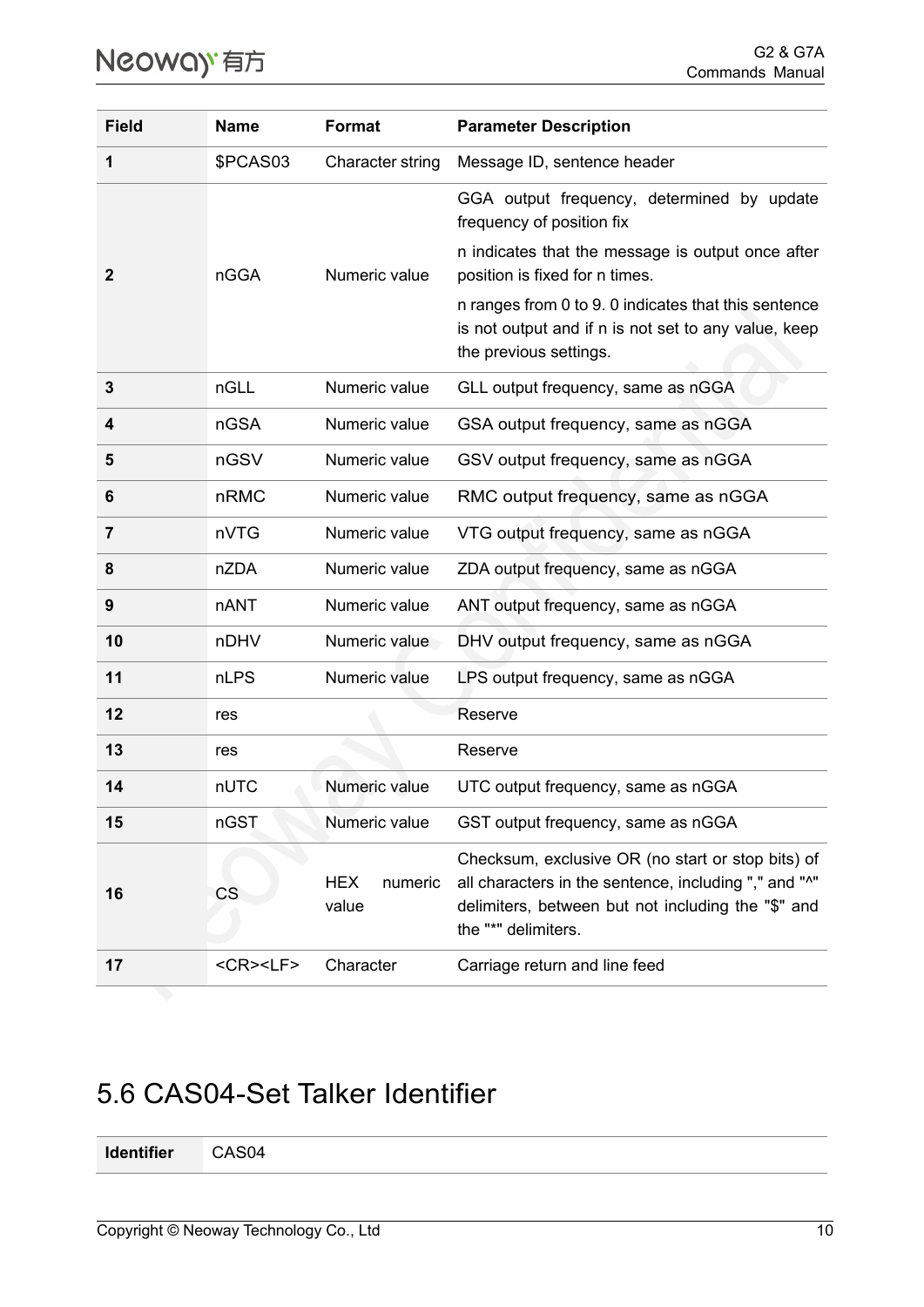| <b>Field</b> | <b>Name</b>        | Format                         | <b>Parameter Description</b>                                                                                                                                                            |
|--------------|--------------------|--------------------------------|-----------------------------------------------------------------------------------------------------------------------------------------------------------------------------------------|
| 1            | \$PCAS03           | Character string               | Message ID, sentence header                                                                                                                                                             |
|              |                    |                                | GGA output frequency, determined by update<br>frequency of position fix<br>n indicates that the message is output once after                                                            |
| $\mathbf 2$  | nGGA               | Numeric value                  | position is fixed for n times.<br>n ranges from 0 to 9.0 indicates that this sentence<br>is not output and if n is not set to any value, keep<br>the previous settings.                 |
| 3            | nGLL               | Numeric value                  | GLL output frequency, same as nGGA                                                                                                                                                      |
| 4            | <b>nGSA</b>        | Numeric value                  | GSA output frequency, same as nGGA                                                                                                                                                      |
| 5            | nGSV               | Numeric value                  | GSV output frequency, same as nGGA                                                                                                                                                      |
| 6            | nRMC               | Numeric value                  | RMC output frequency, same as nGGA                                                                                                                                                      |
| 7            | nVTG               | Numeric value                  | VTG output frequency, same as nGGA                                                                                                                                                      |
| 8            | nZDA               | Numeric value                  | ZDA output frequency, same as nGGA                                                                                                                                                      |
| 9            | nANT               | Numeric value                  | ANT output frequency, same as nGGA                                                                                                                                                      |
| 10           | nDHV               | Numeric value                  | DHV output frequency, same as nGGA                                                                                                                                                      |
| 11           | nLPS               | Numeric value                  | LPS output frequency, same as nGGA                                                                                                                                                      |
| 12           | res                |                                | Reserve                                                                                                                                                                                 |
| 13           | res                |                                | Reserve                                                                                                                                                                                 |
| 14           | nUTC               | Numeric value                  | UTC output frequency, same as nGGA                                                                                                                                                      |
| 15           | nGST               | Numeric value                  | GST output frequency, same as nGGA                                                                                                                                                      |
| 16           | <b>CS</b>          | <b>HEX</b><br>numeric<br>value | Checksum, exclusive OR (no start or stop bits) of<br>all characters in the sentence, including "," and "^"<br>delimiters, between but not including the "\$" and<br>the "*" delimiters. |
| 17           | <cr><lf></lf></cr> | Character                      | Carriage return and line feed                                                                                                                                                           |

### <span id="page-13-0"></span>5.6 CAS04-Set Talker Identifier

**Identifier** CAS04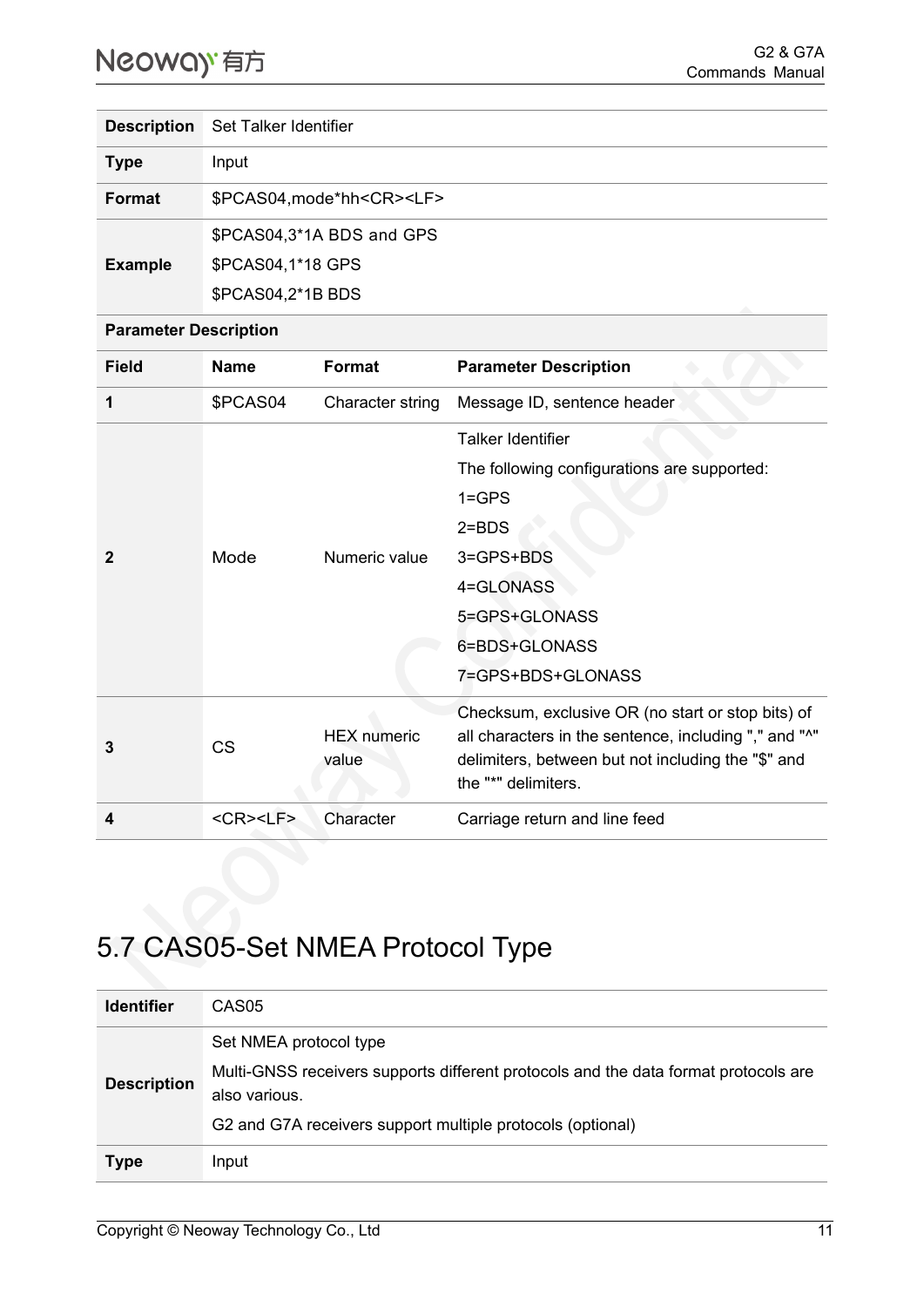| <b>Description</b> | Set Talker Identifier                |
|--------------------|--------------------------------------|
| <b>Type</b>        | Input                                |
| Format             | \$PCAS04, mode*hh <cr><lf></lf></cr> |
|                    | \$PCAS04,3*1A BDS and GPS            |
| <b>Example</b>     | \$PCAS04,1*18 GPS                    |
|                    | \$PCAS04,2*1B BDS                    |

#### **Parameter Description**

| <b>Field</b> | <b>Name</b>                        | Format                      | <b>Parameter Description</b>                                                                                                                                                            |
|--------------|------------------------------------|-----------------------------|-----------------------------------------------------------------------------------------------------------------------------------------------------------------------------------------|
| 1            | \$PCAS04                           | Character string            | Message ID, sentence header                                                                                                                                                             |
|              |                                    |                             | <b>Talker Identifier</b>                                                                                                                                                                |
|              |                                    |                             | The following configurations are supported:                                                                                                                                             |
|              |                                    | Numeric value               | $1 = GPS$                                                                                                                                                                               |
|              |                                    |                             | $2 = BDS$                                                                                                                                                                               |
|              | Mode                               |                             | 3=GPS+BDS                                                                                                                                                                               |
|              |                                    |                             | 4=GLONASS                                                                                                                                                                               |
|              |                                    |                             | 5=GPS+GLONASS                                                                                                                                                                           |
|              |                                    |                             | 6=BDS+GLONASS                                                                                                                                                                           |
|              |                                    |                             | 7=GPS+BDS+GLONASS                                                                                                                                                                       |
| 3            | <b>CS</b>                          | <b>HEX</b> numeric<br>value | Checksum, exclusive OR (no start or stop bits) of<br>all characters in the sentence, including "," and "^"<br>delimiters, between but not including the "\$" and<br>the "*" delimiters. |
| 4            | $<$ CR $>$ <lf<math>&gt;</lf<math> | Character                   | Carriage return and line feed                                                                                                                                                           |

## <span id="page-14-0"></span>5.7 CAS05-Set NMEA Protocol Type

| <b>Identifier</b>  | CAS05                                                                                                |
|--------------------|------------------------------------------------------------------------------------------------------|
| <b>Description</b> | Set NMEA protocol type                                                                               |
|                    | Multi-GNSS receivers supports different protocols and the data format protocols are<br>also various. |
|                    | G2 and G7A receivers support multiple protocols (optional)                                           |
| <b>Type</b>        | Input                                                                                                |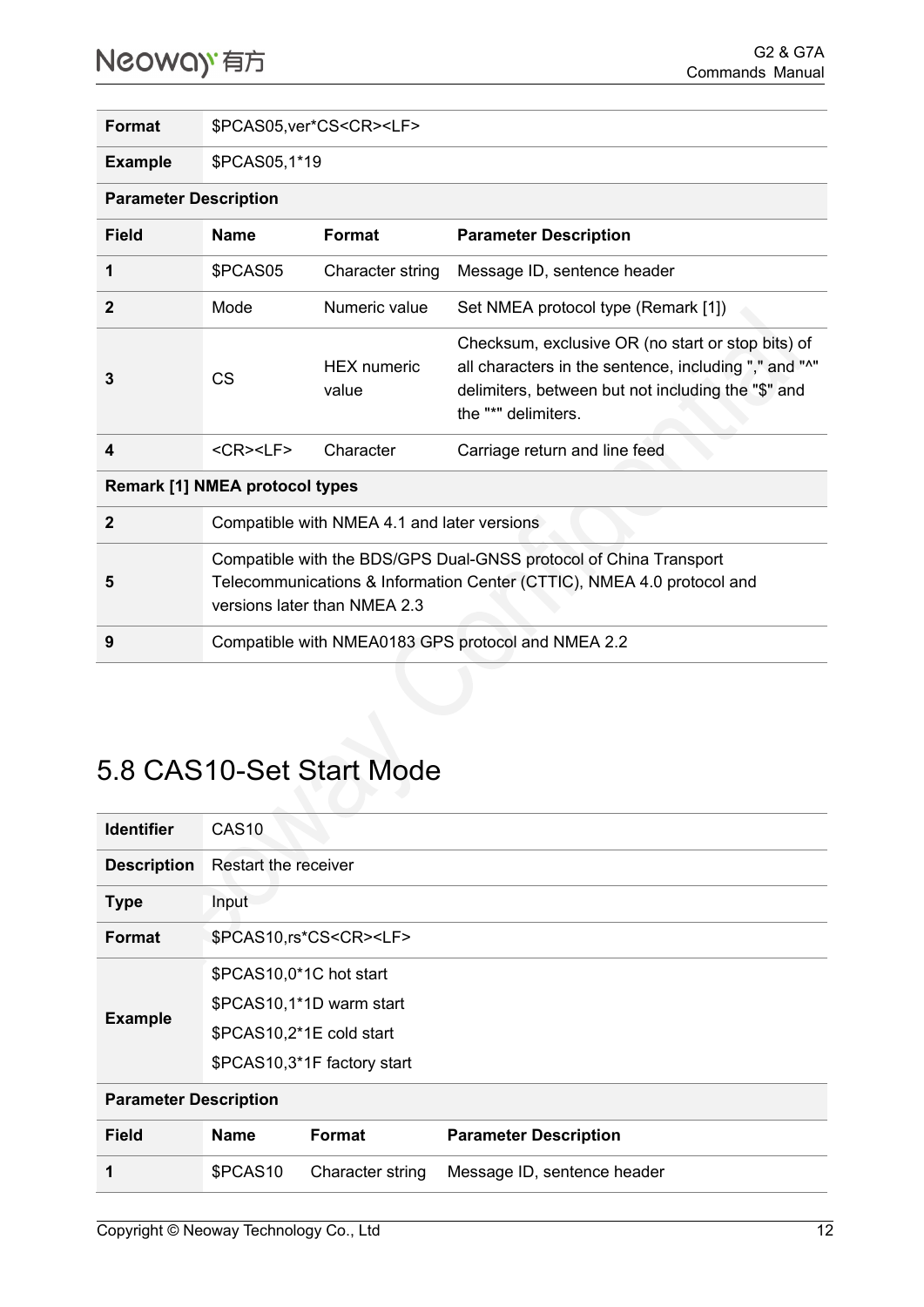| <b>Format</b>                         | \$PCAS05, ver*CS <cr><lf></lf></cr>                                                                                                                                         |                             |                                                                                                                                                                                         |
|---------------------------------------|-----------------------------------------------------------------------------------------------------------------------------------------------------------------------------|-----------------------------|-----------------------------------------------------------------------------------------------------------------------------------------------------------------------------------------|
| <b>Example</b>                        | \$PCAS05,1*19                                                                                                                                                               |                             |                                                                                                                                                                                         |
| <b>Parameter Description</b>          |                                                                                                                                                                             |                             |                                                                                                                                                                                         |
| Field                                 | <b>Name</b>                                                                                                                                                                 | <b>Format</b>               | <b>Parameter Description</b>                                                                                                                                                            |
| 1                                     | \$PCAS05                                                                                                                                                                    | Character string            | Message ID, sentence header                                                                                                                                                             |
| $\mathbf{2}$                          | Mode                                                                                                                                                                        | Numeric value               | Set NMEA protocol type (Remark [1])                                                                                                                                                     |
| 3                                     | CS                                                                                                                                                                          | <b>HEX</b> numeric<br>value | Checksum, exclusive OR (no start or stop bits) of<br>all characters in the sentence, including "," and "^"<br>delimiters, between but not including the "\$" and<br>the "*" delimiters. |
| 4                                     | $<$ CR $>$ $<$ LF $>$                                                                                                                                                       | Character                   | Carriage return and line feed                                                                                                                                                           |
| <b>Remark [1] NMEA protocol types</b> |                                                                                                                                                                             |                             |                                                                                                                                                                                         |
| $\mathbf{2}$                          | Compatible with NMEA 4.1 and later versions                                                                                                                                 |                             |                                                                                                                                                                                         |
| 5                                     | Compatible with the BDS/GPS Dual-GNSS protocol of China Transport<br>Telecommunications & Information Center (CTTIC), NMEA 4.0 protocol and<br>versions later than NMEA 2.3 |                             |                                                                                                                                                                                         |
| 9                                     | Compatible with NMEA0183 GPS protocol and NMEA 2.2                                                                                                                          |                             |                                                                                                                                                                                         |

### <span id="page-15-0"></span>5.8 CAS10-Set Start Mode

| <b>Identifier</b>            | CAS <sub>10</sub>                                            |                                   |                             |  |  |
|------------------------------|--------------------------------------------------------------|-----------------------------------|-----------------------------|--|--|
| <b>Description</b>           | Restart the receiver                                         |                                   |                             |  |  |
| <b>Type</b>                  | Input                                                        |                                   |                             |  |  |
| <b>Format</b>                |                                                              | \$PCAS10,rs*CS <cr><lf></lf></cr> |                             |  |  |
|                              | \$PCAS10,0*1C hot start                                      |                                   |                             |  |  |
| <b>Example</b>               | \$PCAS10,1*1D warm start                                     |                                   |                             |  |  |
|                              | \$PCAS10,2*1E cold start                                     |                                   |                             |  |  |
|                              | \$PCAS10,3*1F factory start                                  |                                   |                             |  |  |
| <b>Parameter Description</b> |                                                              |                                   |                             |  |  |
| <b>Field</b>                 | <b>Format</b><br><b>Name</b><br><b>Parameter Description</b> |                                   |                             |  |  |
| 1                            | \$PCAS10                                                     | Character string                  | Message ID, sentence header |  |  |
|                              |                                                              |                                   |                             |  |  |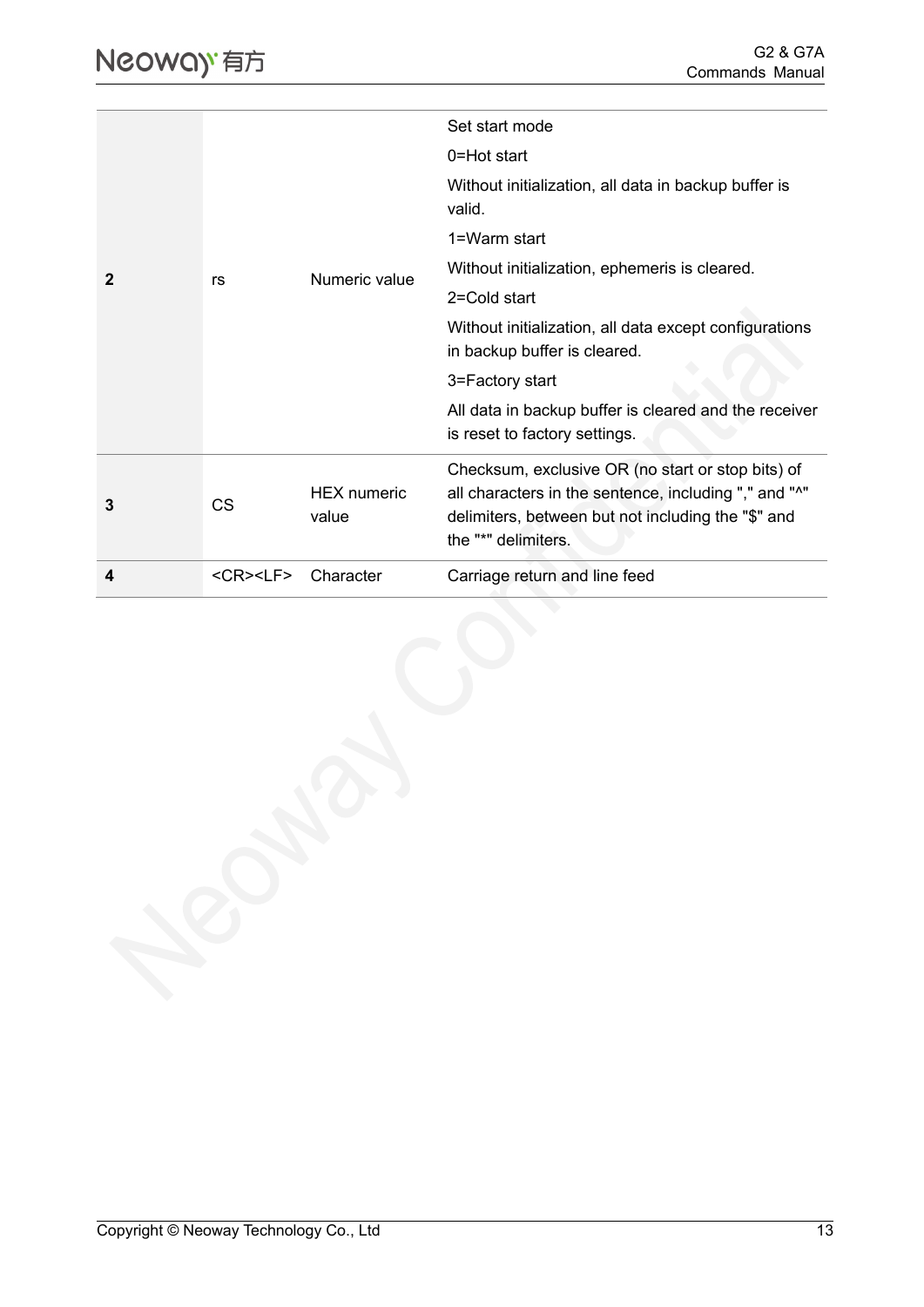|   |                    |                             | Set start mode                                                                                                                                                                          |
|---|--------------------|-----------------------------|-----------------------------------------------------------------------------------------------------------------------------------------------------------------------------------------|
|   |                    |                             |                                                                                                                                                                                         |
|   |                    |                             | 0=Hot start                                                                                                                                                                             |
|   |                    |                             | Without initialization, all data in backup buffer is<br>valid.                                                                                                                          |
|   |                    |                             | 1=Warm start                                                                                                                                                                            |
| 2 | rs                 | Numeric value               | Without initialization, ephemeris is cleared.                                                                                                                                           |
|   |                    |                             | 2=Cold start                                                                                                                                                                            |
|   |                    |                             | Without initialization, all data except configurations<br>in backup buffer is cleared.                                                                                                  |
|   |                    |                             | 3=Factory start                                                                                                                                                                         |
|   |                    |                             | All data in backup buffer is cleared and the receiver<br>is reset to factory settings.                                                                                                  |
| 3 | <b>CS</b>          | <b>HEX</b> numeric<br>value | Checksum, exclusive OR (no start or stop bits) of<br>all characters in the sentence, including "," and "^"<br>delimiters, between but not including the "\$" and<br>the "*" delimiters. |
| 4 | <cr><lf></lf></cr> | Character                   | Carriage return and line feed                                                                                                                                                           |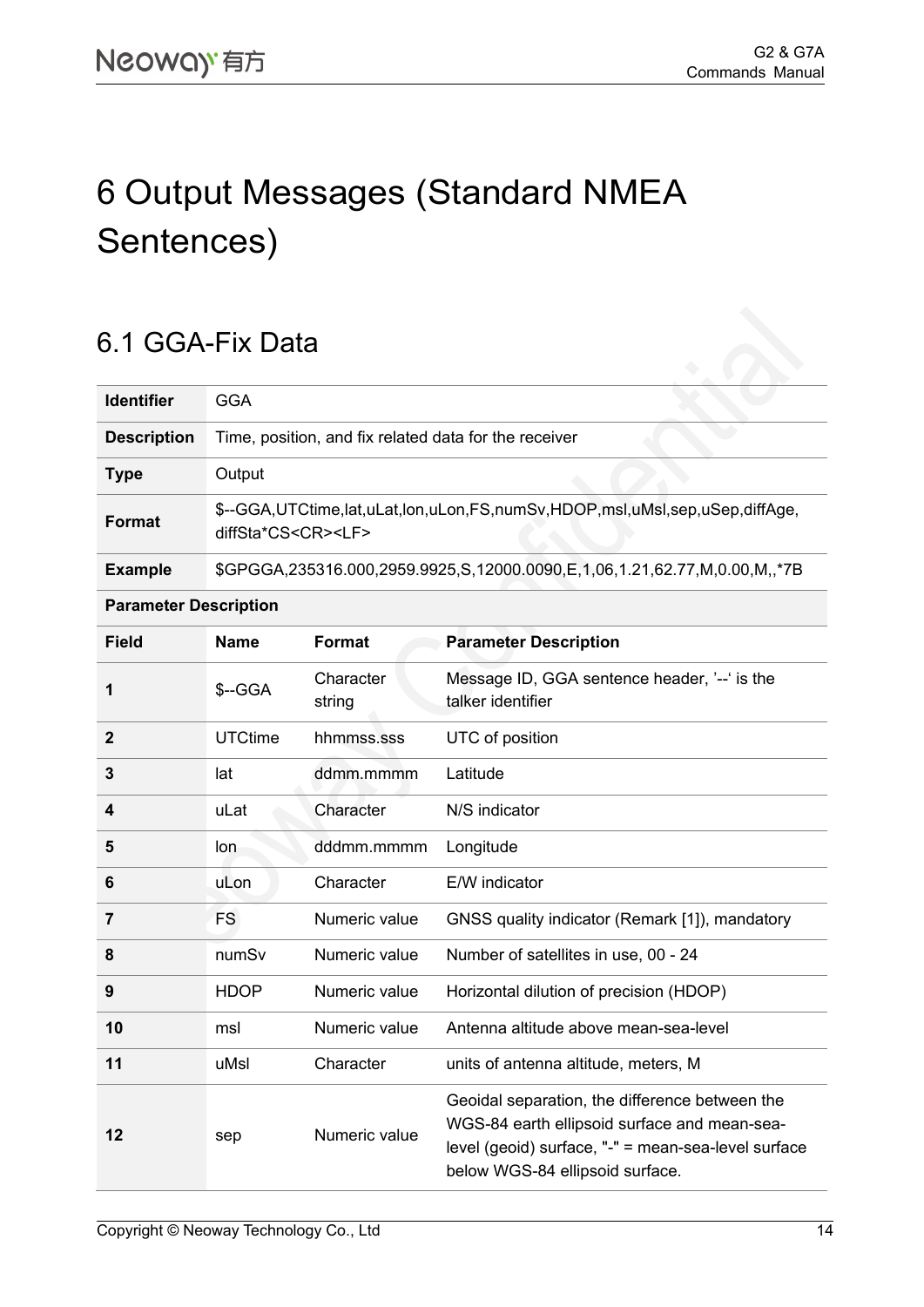## <span id="page-17-0"></span>6 Output Messages (Standard NMEA Sentences)

#### <span id="page-17-1"></span>6.1 GGA-Fix Data

| <b>Identifier</b>  | GGA                                                                                                         |
|--------------------|-------------------------------------------------------------------------------------------------------------|
| <b>Description</b> | Time, position, and fix related data for the receiver                                                       |
| <b>Type</b>        | Output                                                                                                      |
| <b>Format</b>      | \$--GGA,UTCtime,lat,uLat,lon,uLon,FS,numSv,HDOP,msl,uMsl,sep,uSep,diffAge,<br>diffSta*CS <cr><lf></lf></cr> |
| <b>Example</b>     | \$GPGGA,235316.000,2959.9925,S,12000.0090,E,1,06,1.21,62.77,M,0.00,M,,*7B                                   |

#### **Parameter Description**

| <b>Field</b>   | <b>Name</b>    | <b>Format</b>       | <b>Parameter Description</b>                                                                                                                                                             |
|----------------|----------------|---------------------|------------------------------------------------------------------------------------------------------------------------------------------------------------------------------------------|
| 1              | \$--GGA        | Character<br>string | Message ID, GGA sentence header, '--' is the<br>talker identifier                                                                                                                        |
| $\overline{2}$ | <b>UTCtime</b> | hhmmss.sss          | UTC of position                                                                                                                                                                          |
| 3              | lat            | ddmm.mmmm           | Latitude                                                                                                                                                                                 |
| 4              | uLat           | Character           | N/S indicator                                                                                                                                                                            |
| 5              | lon            | dddmm.mmmm          | Longitude                                                                                                                                                                                |
| 6              | uLon           | Character           | E/W indicator                                                                                                                                                                            |
| 7              | FS.            | Numeric value       | GNSS quality indicator (Remark [1]), mandatory                                                                                                                                           |
| 8              | numSv          | Numeric value       | Number of satellites in use, 00 - 24                                                                                                                                                     |
| 9              | <b>HDOP</b>    | Numeric value       | Horizontal dilution of precision (HDOP)                                                                                                                                                  |
| 10             | msl            | Numeric value       | Antenna altitude above mean-sea-level                                                                                                                                                    |
| 11             | uMsl           | Character           | units of antenna altitude, meters, M                                                                                                                                                     |
| 12             | sep            | Numeric value       | Geoidal separation, the difference between the<br>WGS-84 earth ellipsoid surface and mean-sea-<br>level (geoid) surface, "-" = mean-sea-level surface<br>below WGS-84 ellipsoid surface. |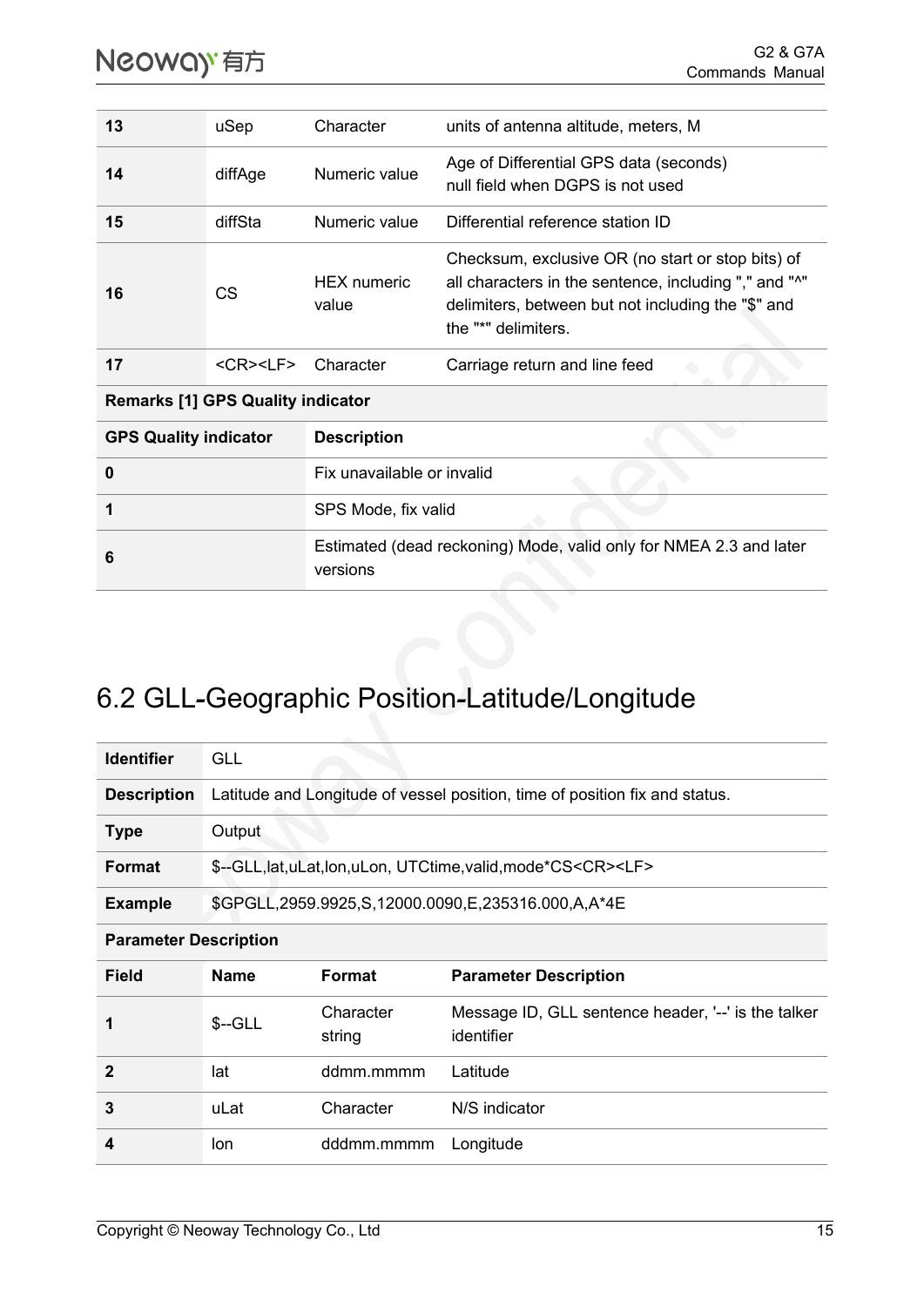| 13 | uSep               | Character                   | units of antenna altitude, meters, M                                                                                                                                                    |
|----|--------------------|-----------------------------|-----------------------------------------------------------------------------------------------------------------------------------------------------------------------------------------|
| 14 | diffAge            | Numeric value               | Age of Differential GPS data (seconds)<br>null field when DGPS is not used                                                                                                              |
| 15 | diffSta            | Numeric value               | Differential reference station ID                                                                                                                                                       |
| 16 | CS                 | <b>HEX</b> numeric<br>value | Checksum, exclusive OR (no start or stop bits) of<br>all characters in the sentence, including "," and "^"<br>delimiters, between but not including the "\$" and<br>the "*" delimiters. |
| 17 | <cr><lf></lf></cr> | Character                   | Carriage return and line feed                                                                                                                                                           |

**Remarks [1] GPS Quality indicator**

| <b>GPS Quality indicator</b> | <b>Description</b>                                                             |
|------------------------------|--------------------------------------------------------------------------------|
| 0                            | Fix unavailable or invalid                                                     |
|                              | SPS Mode, fix valid                                                            |
| 6                            | Estimated (dead reckoning) Mode, valid only for NMEA 2.3 and later<br>versions |

## <span id="page-18-0"></span>6.2 GLL**-**Geographic Position**-**Latitude/Longitude

| <b>Identifier</b>            | <b>GLL</b>                                                                  |                                                    |                                                                           |  |
|------------------------------|-----------------------------------------------------------------------------|----------------------------------------------------|---------------------------------------------------------------------------|--|
| <b>Description</b>           | Latitude and Longitude of vessel position, time of position fix and status. |                                                    |                                                                           |  |
| <b>Type</b>                  | Output                                                                      |                                                    |                                                                           |  |
| <b>Format</b>                |                                                                             |                                                    | \$--GLL, lat, uLat, lon, uLon, UTCtime, valid, mode*CS <cr><lf></lf></cr> |  |
| <b>Example</b>               |                                                                             | \$GPGLL,2959.9925,S,12000.0090,E,235316.000,A,A*4E |                                                                           |  |
| <b>Parameter Description</b> |                                                                             |                                                    |                                                                           |  |
| <b>Field</b>                 | <b>Name</b>                                                                 | <b>Format</b>                                      | <b>Parameter Description</b>                                              |  |
| 1                            | $S-GLL$                                                                     | Character<br>string                                | Message ID, GLL sentence header, '--' is the talker<br>identifier         |  |
| $\overline{2}$               | lat                                                                         | ddmm.mmmm                                          | Latitude                                                                  |  |
| 3                            | uLat                                                                        | Character                                          | N/S indicator                                                             |  |
| 4                            | lon                                                                         | dddmm.mmmm                                         | Longitude                                                                 |  |
|                              |                                                                             |                                                    |                                                                           |  |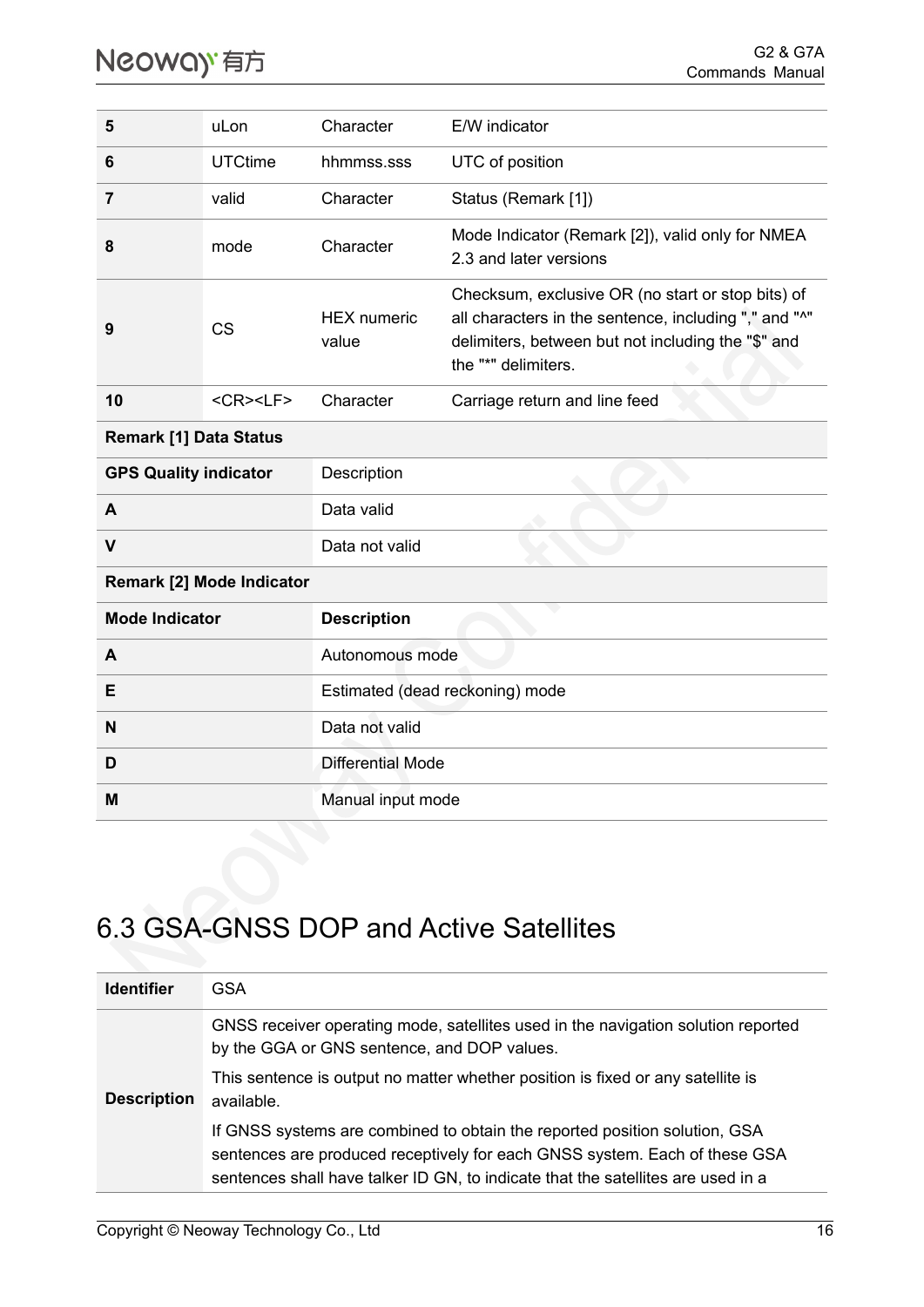| 5                                           | uLon               | Character                       | E/W indicator                                                                                                                                                                           |
|---------------------------------------------|--------------------|---------------------------------|-----------------------------------------------------------------------------------------------------------------------------------------------------------------------------------------|
| 6                                           | <b>UTCtime</b>     | hhmmss.sss                      | UTC of position                                                                                                                                                                         |
| 7                                           | valid              | Character                       | Status (Remark [1])                                                                                                                                                                     |
| 8                                           | mode               | Character                       | Mode Indicator (Remark [2]), valid only for NMEA<br>2.3 and later versions                                                                                                              |
| 9                                           | <b>CS</b>          | <b>HEX</b> numeric<br>value     | Checksum, exclusive OR (no start or stop bits) of<br>all characters in the sentence, including "," and "^"<br>delimiters, between but not including the "\$" and<br>the "*" delimiters. |
| 10                                          | <cr><lf></lf></cr> | Character                       | Carriage return and line feed                                                                                                                                                           |
| <b>Remark [1] Data Status</b>               |                    |                                 |                                                                                                                                                                                         |
| <b>GPS Quality indicator</b><br>Description |                    |                                 |                                                                                                                                                                                         |
| A                                           |                    | Data valid                      |                                                                                                                                                                                         |
| $\mathsf{V}$                                |                    | Data not valid                  |                                                                                                                                                                                         |
| Remark [2] Mode Indicator                   |                    |                                 |                                                                                                                                                                                         |
| <b>Mode Indicator</b>                       |                    | <b>Description</b>              |                                                                                                                                                                                         |
| A                                           |                    | Autonomous mode                 |                                                                                                                                                                                         |
| E                                           |                    | Estimated (dead reckoning) mode |                                                                                                                                                                                         |
| N                                           |                    | Data not valid                  |                                                                                                                                                                                         |
| D                                           |                    | <b>Differential Mode</b>        |                                                                                                                                                                                         |
| M                                           |                    | Manual input mode               |                                                                                                                                                                                         |

### <span id="page-19-0"></span>6.3 GSA**-**GNSS DOP and Active Satellites

| <b>Identifier</b>  | GSA                                                                                                                                                                                                                                          |
|--------------------|----------------------------------------------------------------------------------------------------------------------------------------------------------------------------------------------------------------------------------------------|
| <b>Description</b> | GNSS receiver operating mode, satellites used in the navigation solution reported<br>by the GGA or GNS sentence, and DOP values.<br>This sentence is output no matter whether position is fixed or any satellite is<br>available.            |
|                    | If GNSS systems are combined to obtain the reported position solution, GSA<br>sentences are produced receptively for each GNSS system. Each of these GSA<br>sentences shall have talker ID GN, to indicate that the satellites are used in a |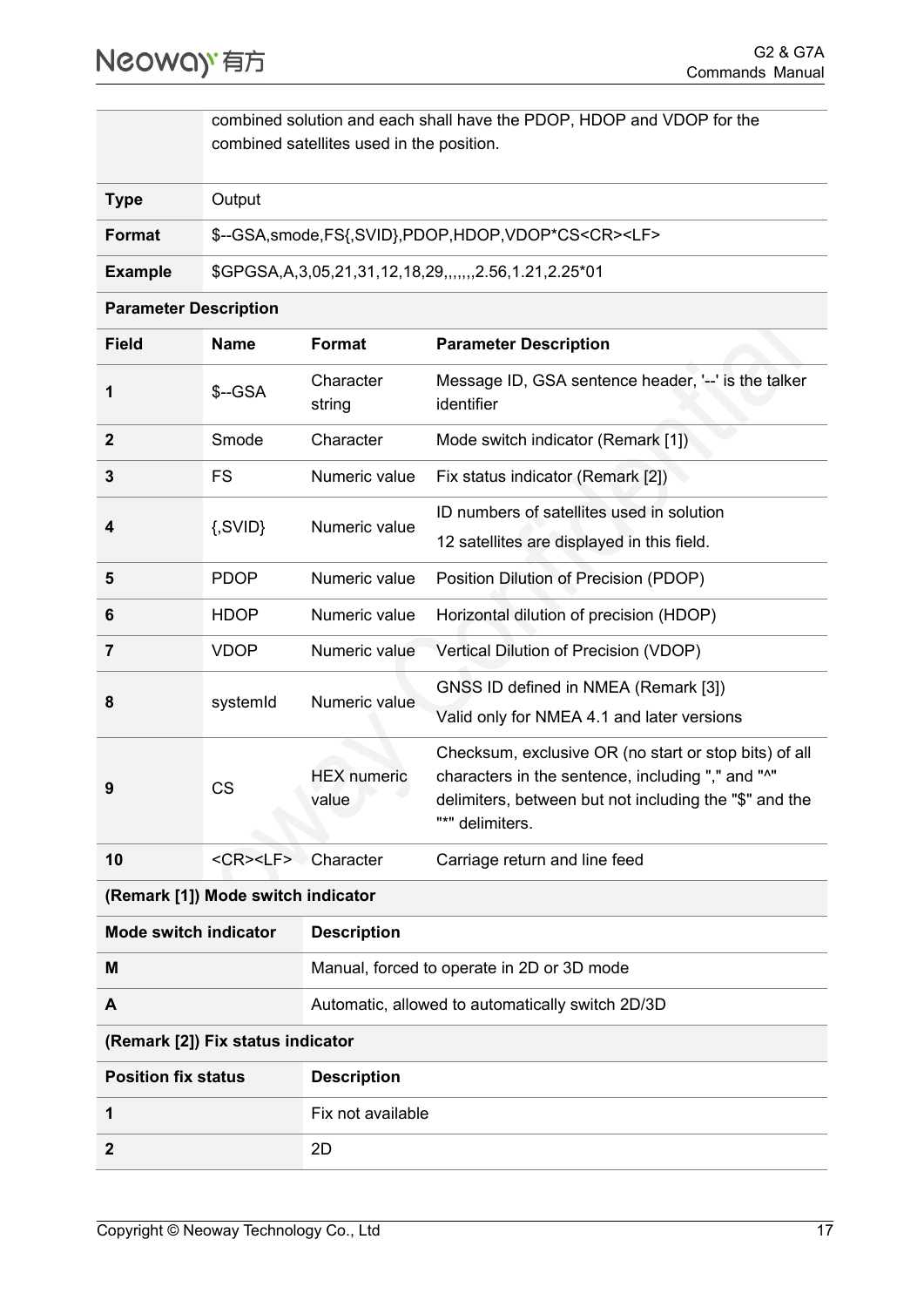combined solution and each shall have the PDOP, HDOP and VDOP for the combined satellites used in the position.

| <b>Type</b>    | Output                                                                |
|----------------|-----------------------------------------------------------------------|
| Format         | \$--GSA, smode, FS{, SVID}, PDOP, HDOP, VDOP*CS <cr><lf></lf></cr>    |
| <b>Example</b> | \$GPGSA, A, 3, 05, 21, 31, 12, 18, 29, ., ., , , 2.56, 1.21, 2.25* 01 |

#### **Parameter Description**

| <b>Field</b>                                       | <b>Name</b>           | <b>Format</b>               | <b>Parameter Description</b>                                                                                                                                                            |
|----------------------------------------------------|-----------------------|-----------------------------|-----------------------------------------------------------------------------------------------------------------------------------------------------------------------------------------|
| 1                                                  | \$--GSA               | Character<br>string         | Message ID, GSA sentence header, '--' is the talker<br>identifier                                                                                                                       |
| $\mathbf{2}$                                       | Smode                 | Character                   | Mode switch indicator (Remark [1])                                                                                                                                                      |
| 3                                                  | FS                    | Numeric value               | Fix status indicator (Remark [2])                                                                                                                                                       |
| 4                                                  | $\{SVID\}$            | Numeric value               | ID numbers of satellites used in solution<br>12 satellites are displayed in this field.                                                                                                 |
| 5                                                  | <b>PDOP</b>           | Numeric value               | Position Dilution of Precision (PDOP)                                                                                                                                                   |
| 6                                                  | <b>HDOP</b>           | Numeric value               | Horizontal dilution of precision (HDOP)                                                                                                                                                 |
| 7                                                  | <b>VDOP</b>           | Numeric value               | Vertical Dilution of Precision (VDOP)                                                                                                                                                   |
| 8                                                  | systemId              | Numeric value               | GNSS ID defined in NMEA (Remark [3])<br>Valid only for NMEA 4.1 and later versions                                                                                                      |
| 9                                                  | <b>CS</b>             | <b>HEX</b> numeric<br>value | Checksum, exclusive OR (no start or stop bits) of all<br>characters in the sentence, including "," and "^"<br>delimiters, between but not including the "\$" and the<br>"*" delimiters. |
| 10                                                 | $<$ CR $>$ $<$ LF $>$ | Character                   | Carriage return and line feed                                                                                                                                                           |
| (Remark [1]) Mode switch indicator                 |                       |                             |                                                                                                                                                                                         |
| <b>Mode switch indicator</b><br><b>Description</b> |                       |                             |                                                                                                                                                                                         |

| M | Manual, forced to operate in 2D or 3D mode       |
|---|--------------------------------------------------|
|   | Automatic, allowed to automatically switch 2D/3D |

#### **(Remark [2]) Fix status indicator**

| <b>Position fix status</b> | <b>Description</b> |
|----------------------------|--------------------|
|                            | Fix not available  |
| $\overline{2}$             | 2D                 |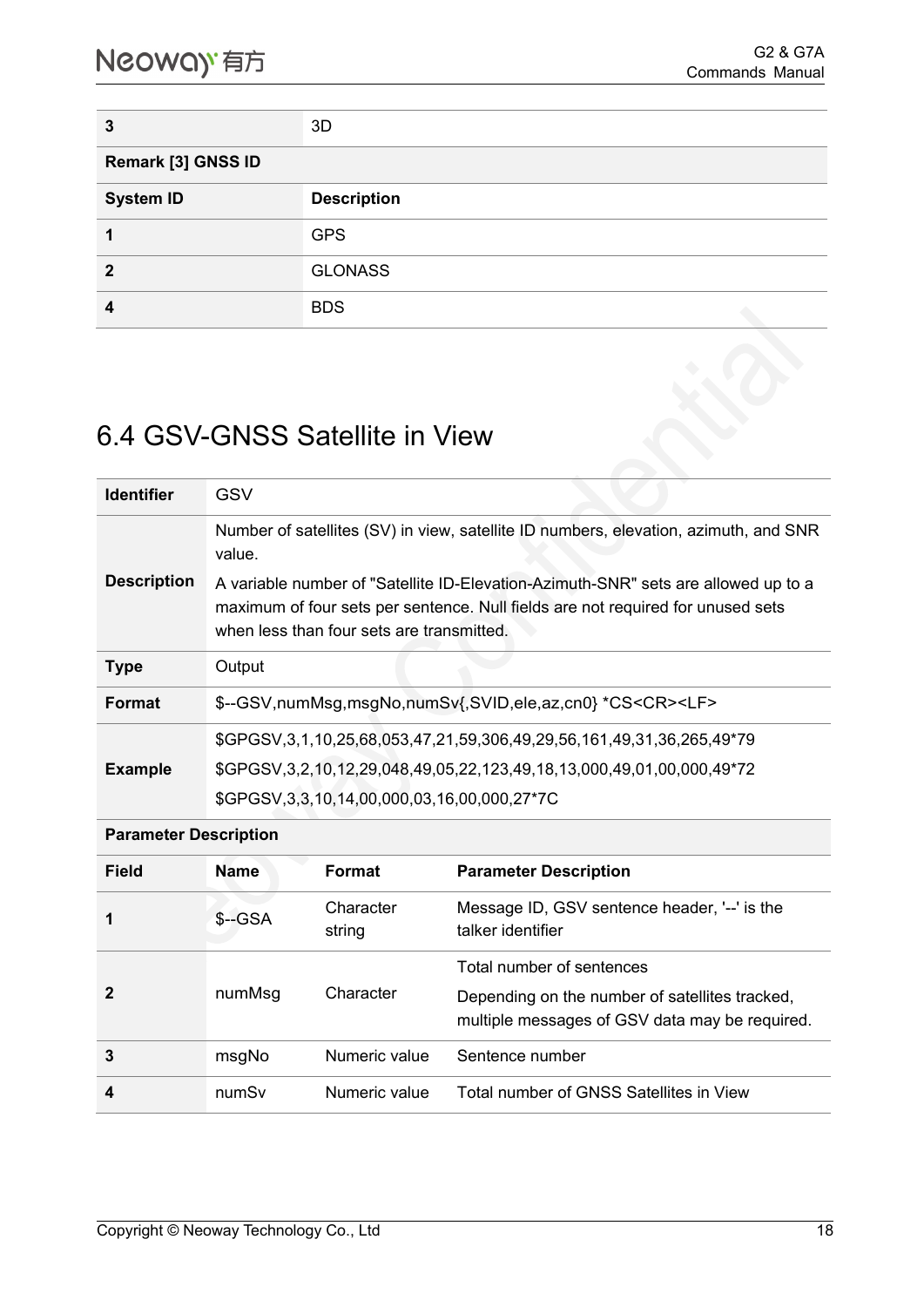| 3                          | 3D                 |  |
|----------------------------|--------------------|--|
| <b>Remark [3] GNSS ID</b>  |                    |  |
| <b>System ID</b>           | <b>Description</b> |  |
|                            | <b>GPS</b>         |  |
| $\boldsymbol{\mathcal{P}}$ | <b>GLONASS</b>     |  |
| Δ                          | <b>BDS</b>         |  |

### <span id="page-21-0"></span>6.4 GSV-GNSS Satellite in View

| <b>Identifier</b>  | GSV                                                                                                                                                                                  |
|--------------------|--------------------------------------------------------------------------------------------------------------------------------------------------------------------------------------|
| <b>Description</b> | Number of satellites (SV) in view, satellite ID numbers, elevation, azimuth, and SNR<br>value.<br>A variable number of "Satellite ID-Elevation-Azimuth-SNR" sets are allowed up to a |
|                    | maximum of four sets per sentence. Null fields are not required for unused sets<br>when less than four sets are transmitted.                                                         |
| <b>Type</b>        | Output                                                                                                                                                                               |
| <b>Format</b>      | \$--GSV,numMsg,msgNo,numSv{,SVID,ele,az,cn0} *CS <cr><lf></lf></cr>                                                                                                                  |
|                    | \$GPGSV, 3, 1, 10, 25, 68, 053, 47, 21, 59, 306, 49, 29, 56, 161, 49, 31, 36, 265, 49*79                                                                                             |
| <b>Example</b>     | \$GPGSV,3,2,10,12,29,048,49,05,22,123,49,18,13,000,49,01,00,000,49*72                                                                                                                |
|                    | \$GPGSV, 3, 3, 10, 14, 00, 000, 03, 16, 00, 000, 27*7C                                                                                                                               |

#### **Parameter Description**

| <b>Field</b> | <b>Name</b> | <b>Format</b>       | <b>Parameter Description</b>                                                                                                  |
|--------------|-------------|---------------------|-------------------------------------------------------------------------------------------------------------------------------|
| 1            | $S-GSA$     | Character<br>string | Message ID, GSV sentence header, '--' is the<br>talker identifier                                                             |
| 2            | numMsg      | Character           | Total number of sentences<br>Depending on the number of satellites tracked,<br>multiple messages of GSV data may be required. |
| 3            | msgNo       | Numeric value       | Sentence number                                                                                                               |
| 4            | numSv       | Numeric value       | Total number of GNSS Satellites in View                                                                                       |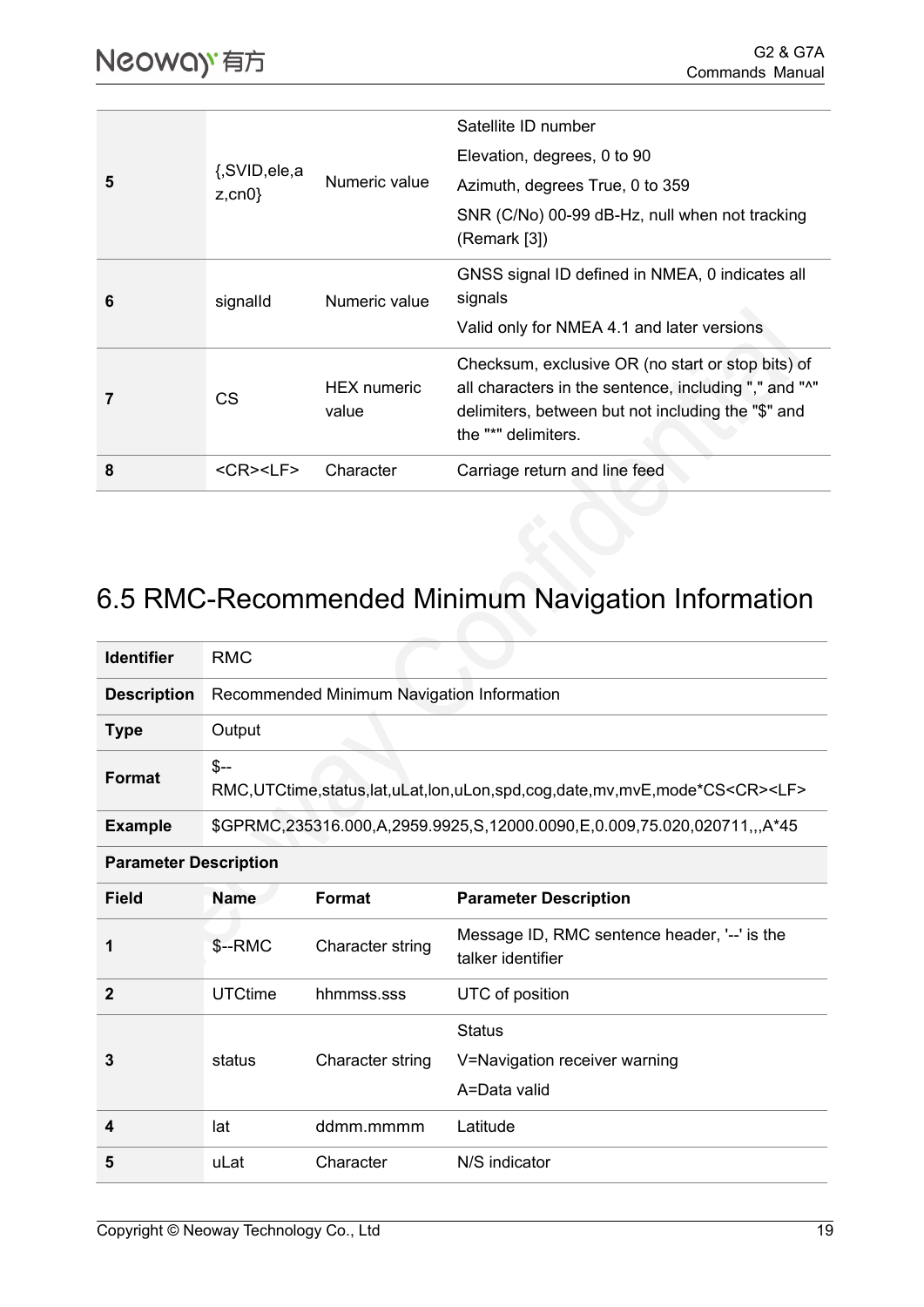|   |                            | Numeric value               | Satellite ID number                                                                                                                                                                     |
|---|----------------------------|-----------------------------|-----------------------------------------------------------------------------------------------------------------------------------------------------------------------------------------|
|   |                            |                             | Elevation, degrees, 0 to 90                                                                                                                                                             |
| 5 | {,SVID,ele,a<br>$z, cn0$ } |                             | Azimuth, degrees True, 0 to 359                                                                                                                                                         |
|   |                            |                             | SNR (C/No) 00-99 dB-Hz, null when not tracking<br>(Remark [3])                                                                                                                          |
| 6 | signalld                   | Numeric value               | GNSS signal ID defined in NMEA, 0 indicates all<br>signals                                                                                                                              |
|   |                            |                             | Valid only for NMEA 4.1 and later versions                                                                                                                                              |
|   | CS                         | <b>HEX</b> numeric<br>value | Checksum, exclusive OR (no start or stop bits) of<br>all characters in the sentence, including "," and "^"<br>delimiters, between but not including the "\$" and<br>the "*" delimiters. |
| 8 | <cr><lf></lf></cr>         | Character                   | Carriage return and line feed                                                                                                                                                           |

## <span id="page-22-0"></span>6.5 RMC-Recommended Minimum Navigation Information

| <b>Identifier</b>            | <b>RMC</b>                                                                                               |                  |                                                                          |
|------------------------------|----------------------------------------------------------------------------------------------------------|------------------|--------------------------------------------------------------------------|
| <b>Description</b>           | Recommended Minimum Navigation Information                                                               |                  |                                                                          |
| <b>Type</b>                  | Output                                                                                                   |                  |                                                                          |
| <b>Format</b>                | $$--$<br>RMC, UTCtime, status, lat, uLat, lon, uLon, spd, cog, date, mv, mvE, mode*CS <cr><lf></lf></cr> |                  |                                                                          |
| <b>Example</b>               |                                                                                                          |                  | \$GPRMC,235316.000,A,2959.9925,S,12000.0090,E,0.009,75.020,020711,,,A*45 |
| <b>Parameter Description</b> |                                                                                                          |                  |                                                                          |
| <b>Field</b>                 | <b>Name</b>                                                                                              | <b>Format</b>    | <b>Parameter Description</b>                                             |
| 1                            | \$--RMC                                                                                                  | Character string | Message ID, RMC sentence header, '--' is the<br>talker identifier        |
| $\mathbf{2}$                 | <b>UTCtime</b>                                                                                           | hhmmss.sss       | UTC of position                                                          |
| 3                            | status                                                                                                   | Character string | <b>Status</b><br>V=Navigation receiver warning<br>A=Data valid           |
| 4                            | lat                                                                                                      | ddmm.mmmm        | Latitude                                                                 |
| 5                            | uLat                                                                                                     | Character        | N/S indicator                                                            |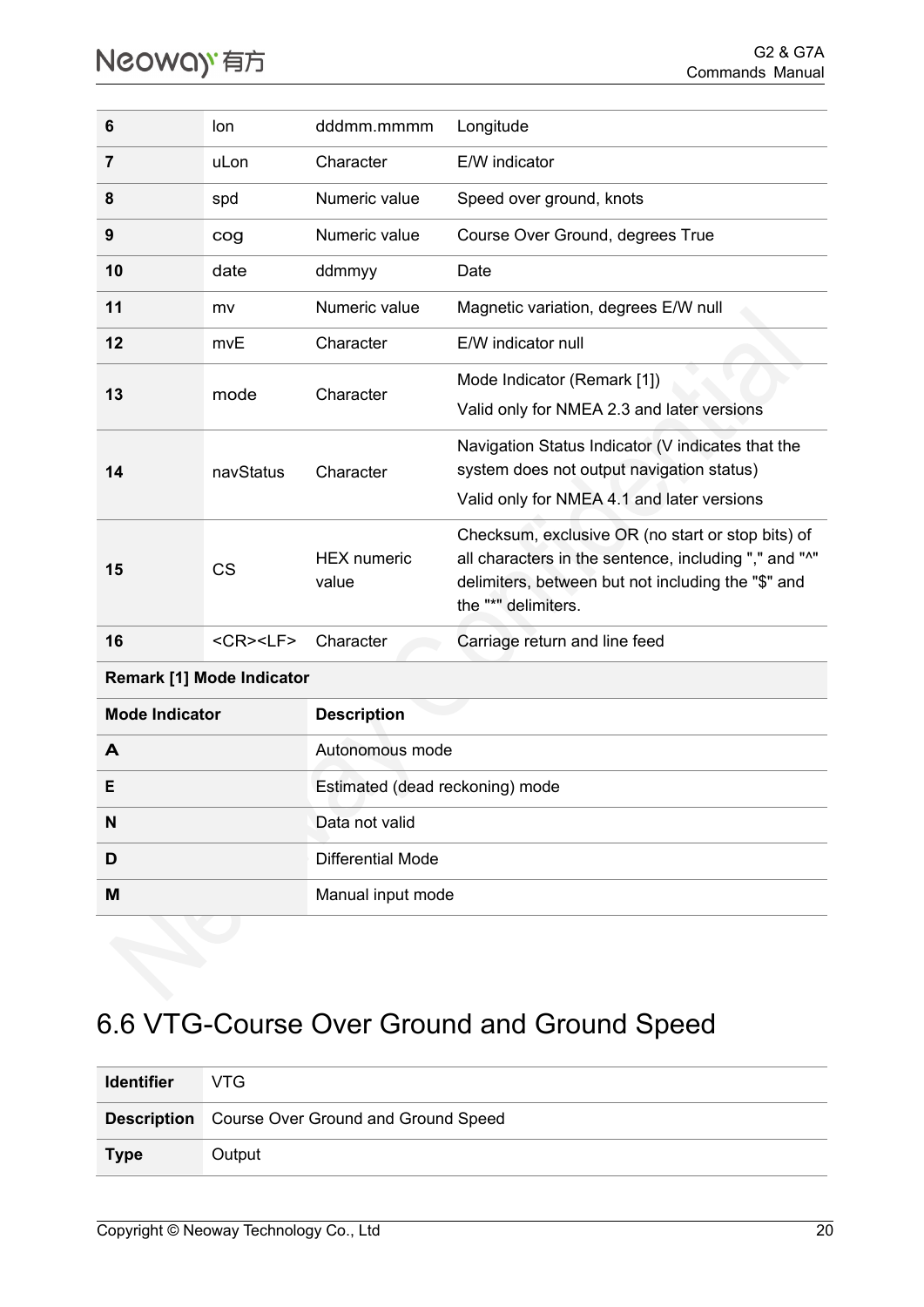| 6                                | lon                                | dddmm.mmmm                      | Longitude                                                                                                                                                                               |  |
|----------------------------------|------------------------------------|---------------------------------|-----------------------------------------------------------------------------------------------------------------------------------------------------------------------------------------|--|
| 7                                | uLon                               | Character                       | E/W indicator                                                                                                                                                                           |  |
| 8                                | spd                                | Numeric value                   | Speed over ground, knots                                                                                                                                                                |  |
| 9                                | cog                                | Numeric value                   | Course Over Ground, degrees True                                                                                                                                                        |  |
| 10                               | date                               | ddmmyy                          | Date                                                                                                                                                                                    |  |
| 11                               | mv                                 | Numeric value                   | Magnetic variation, degrees E/W null                                                                                                                                                    |  |
| 12                               | mvE                                | Character                       | E/W indicator null                                                                                                                                                                      |  |
| 13                               | mode                               | Character                       | Mode Indicator (Remark [1])<br>Valid only for NMEA 2.3 and later versions                                                                                                               |  |
| 14                               | navStatus                          | Character                       | Navigation Status Indicator (V indicates that the<br>system does not output navigation status)<br>Valid only for NMEA 4.1 and later versions                                            |  |
| 15                               | <b>CS</b>                          | <b>HEX</b> numeric<br>value     | Checksum, exclusive OR (no start or stop bits) of<br>all characters in the sentence, including "," and "^"<br>delimiters, between but not including the "\$" and<br>the "*" delimiters. |  |
| 16                               | $<$ CR $>$ <lf<math>&gt;</lf<math> | Character                       | Carriage return and line feed                                                                                                                                                           |  |
| <b>Remark [1] Mode Indicator</b> |                                    |                                 |                                                                                                                                                                                         |  |
| <b>Mode Indicator</b>            |                                    | <b>Description</b>              |                                                                                                                                                                                         |  |
| A                                |                                    | Autonomous mode                 |                                                                                                                                                                                         |  |
| Ε                                |                                    | Estimated (dead reckoning) mode |                                                                                                                                                                                         |  |

## <span id="page-23-0"></span>6.6 VTG-Course Over Ground and Ground Speed

| <b>Identifier</b> | VTG.                                                   |
|-------------------|--------------------------------------------------------|
|                   | <b>Description</b> Course Over Ground and Ground Speed |
| <b>Type</b>       | Output                                                 |

**N** Data not valid

**D D** Differential Mode

**M** Manual input mode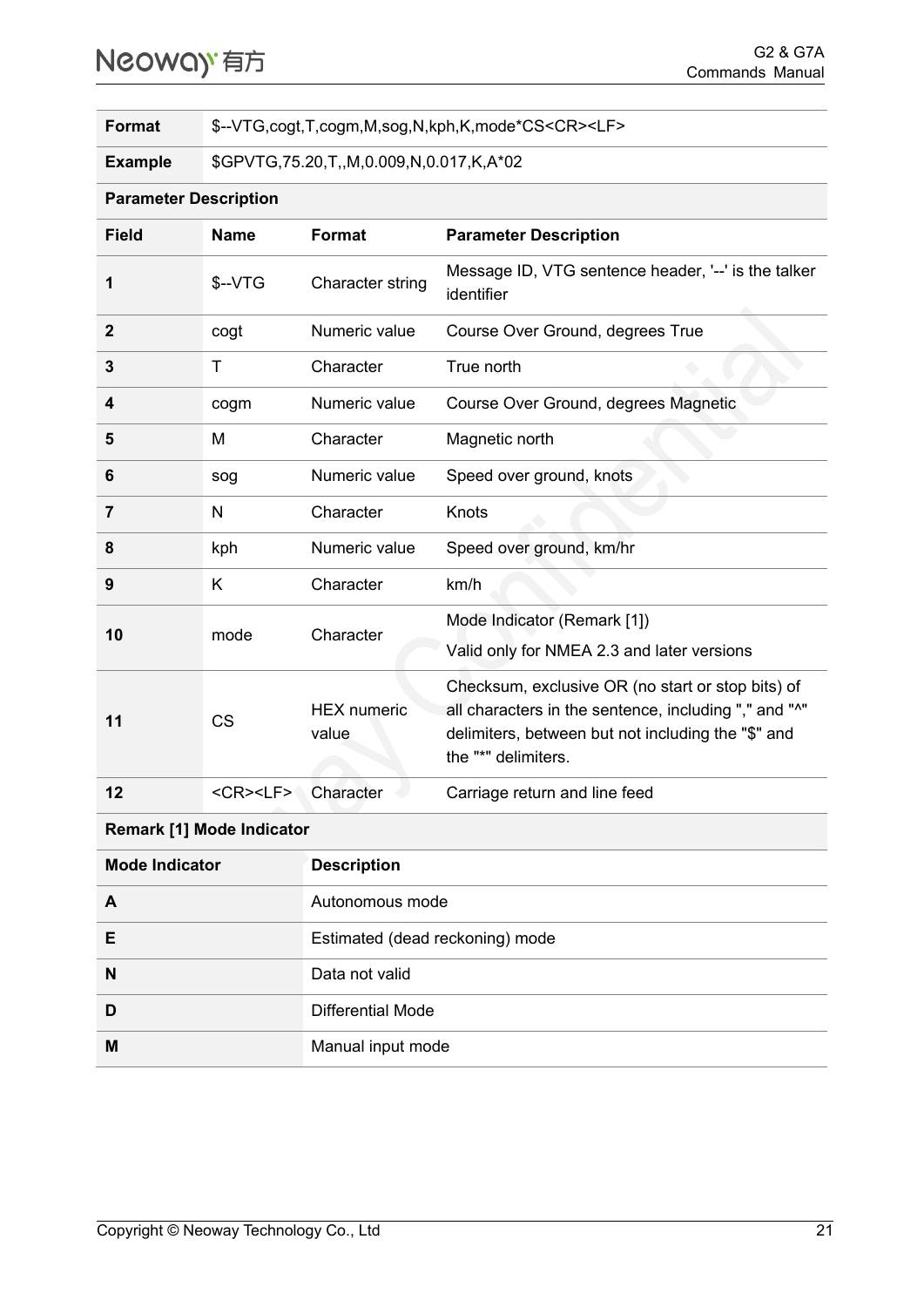## Neoway 有方

**Format** \$--VTG,cogt,T,cogm,M,sog,N,kph,K,mode\*CS<CR><LF>

**Example** \$GPVTG,75.20,T,,M,0.009,N,0.017,K,A\*02

#### **Parameter Description**

| <b>Field</b> | <b>Name</b>                        | <b>Format</b>               | <b>Parameter Description</b>                                                                                                                                                            |
|--------------|------------------------------------|-----------------------------|-----------------------------------------------------------------------------------------------------------------------------------------------------------------------------------------|
| 1            | $$-VTG$                            | Character string            | Message ID, VTG sentence header, '--' is the talker<br>identifier                                                                                                                       |
| $\mathbf{2}$ | cogt                               | Numeric value               | Course Over Ground, degrees True                                                                                                                                                        |
| 3            | Τ                                  | Character                   | True north                                                                                                                                                                              |
| 4            | cogm                               | Numeric value               | Course Over Ground, degrees Magnetic                                                                                                                                                    |
| 5            | M                                  | Character                   | Magnetic north                                                                                                                                                                          |
| 6            | sog                                | Numeric value               | Speed over ground, knots                                                                                                                                                                |
| 7            | N                                  | Character                   | Knots                                                                                                                                                                                   |
| 8            | kph                                | Numeric value               | Speed over ground, km/hr                                                                                                                                                                |
| 9            | Κ                                  | Character                   | km/h                                                                                                                                                                                    |
| 10           | mode                               | Character                   | Mode Indicator (Remark [1])<br>Valid only for NMEA 2.3 and later versions                                                                                                               |
| 11           | <b>CS</b>                          | <b>HEX</b> numeric<br>value | Checksum, exclusive OR (no start or stop bits) of<br>all characters in the sentence, including "," and "^"<br>delimiters, between but not including the "\$" and<br>the "*" delimiters. |
| 12           | $<$ CR $>$ <lf<math>&gt;</lf<math> | Character                   | Carriage return and line feed                                                                                                                                                           |

#### **Remark [1] Mode Indicator**

| <b>Mode Indicator</b> | <b>Description</b>              |
|-----------------------|---------------------------------|
| A                     | Autonomous mode                 |
| Е                     | Estimated (dead reckoning) mode |
| N                     | Data not valid                  |
| D                     | Differential Mode               |
| M                     | Manual input mode               |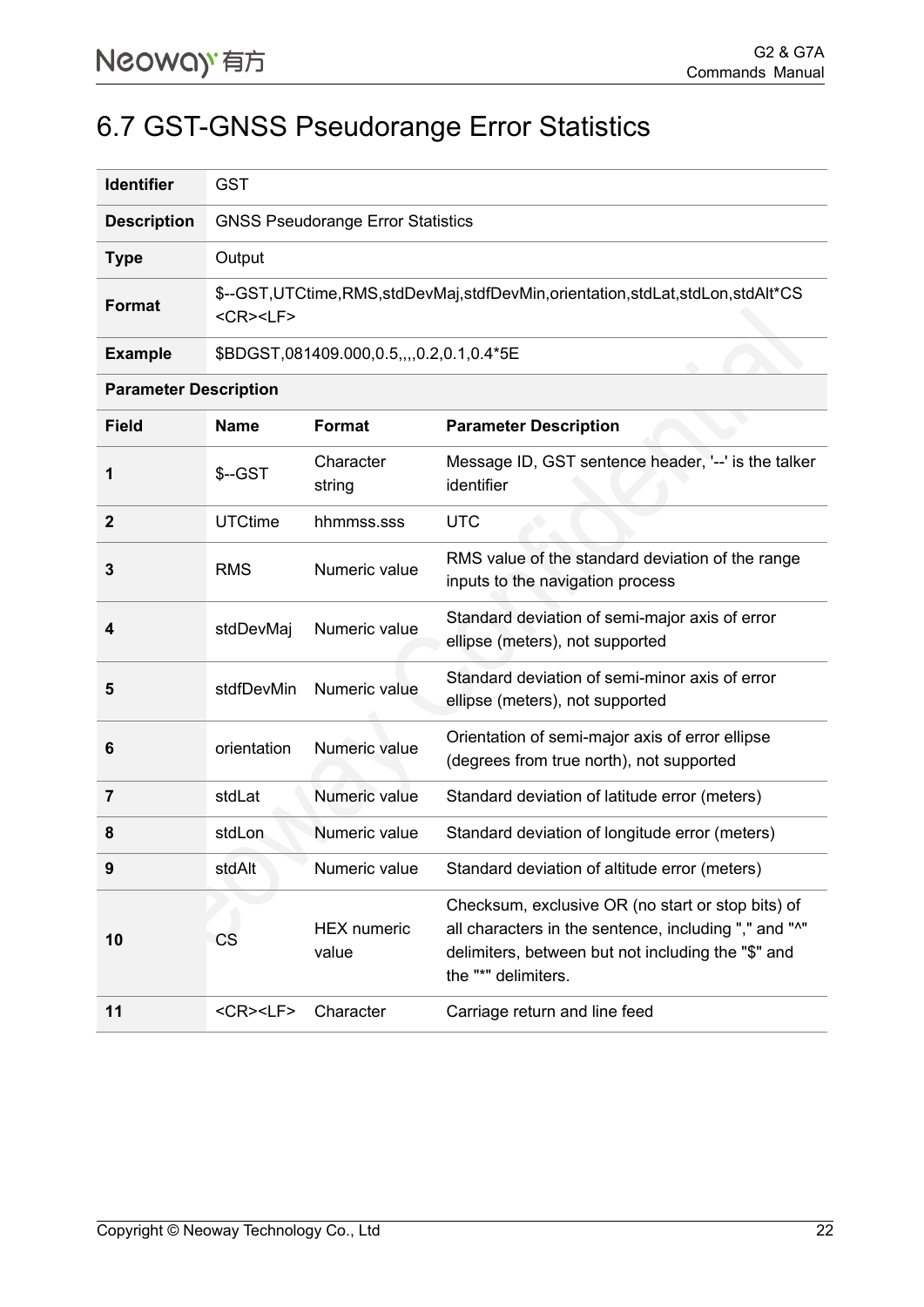#### <span id="page-25-0"></span>6.7 GST-GNSS Pseudorange Error Statistics

| <b>Identifier</b>  | GST                                                                                                |
|--------------------|----------------------------------------------------------------------------------------------------|
| <b>Description</b> | <b>GNSS Pseudorange Error Statistics</b>                                                           |
| <b>Type</b>        | Output                                                                                             |
| <b>Format</b>      | \$--GST,UTCtime,RMS,stdDevMaj,stdfDevMin,orientation,stdLat,stdLon,stdAlt*CS<br><cr><lf></lf></cr> |
| <b>Example</b>     | \$BDGST,081409.000,0.5,,,,0.2,0.1,0.4*5E                                                           |

#### **Parameter Description**

| <b>Field</b> | <b>Name</b>        | <b>Format</b>               | <b>Parameter Description</b>                                                                                                                                                            |
|--------------|--------------------|-----------------------------|-----------------------------------------------------------------------------------------------------------------------------------------------------------------------------------------|
| 1            | \$--GST            | Character<br>string         | Message ID, GST sentence header, '--' is the talker<br>identifier                                                                                                                       |
| $\mathbf{2}$ | <b>UTCtime</b>     | hhmmss.sss                  | <b>UTC</b>                                                                                                                                                                              |
| 3            | <b>RMS</b>         | Numeric value               | RMS value of the standard deviation of the range<br>inputs to the navigation process                                                                                                    |
| 4            | stdDevMaj          | Numeric value               | Standard deviation of semi-major axis of error<br>ellipse (meters), not supported                                                                                                       |
| 5            | stdfDevMin         | Numeric value               | Standard deviation of semi-minor axis of error<br>ellipse (meters), not supported                                                                                                       |
| 6            | orientation        | Numeric value               | Orientation of semi-major axis of error ellipse<br>(degrees from true north), not supported                                                                                             |
| 7            | stdLat             | Numeric value               | Standard deviation of latitude error (meters)                                                                                                                                           |
| 8            | stdLon             | Numeric value               | Standard deviation of longitude error (meters)                                                                                                                                          |
| 9            | stdAlt             | Numeric value               | Standard deviation of altitude error (meters)                                                                                                                                           |
| 10           | CS                 | <b>HEX</b> numeric<br>value | Checksum, exclusive OR (no start or stop bits) of<br>all characters in the sentence, including "," and "^"<br>delimiters, between but not including the "\$" and<br>the "*" delimiters. |
| 11           | <cr><lf></lf></cr> | Character                   | Carriage return and line feed                                                                                                                                                           |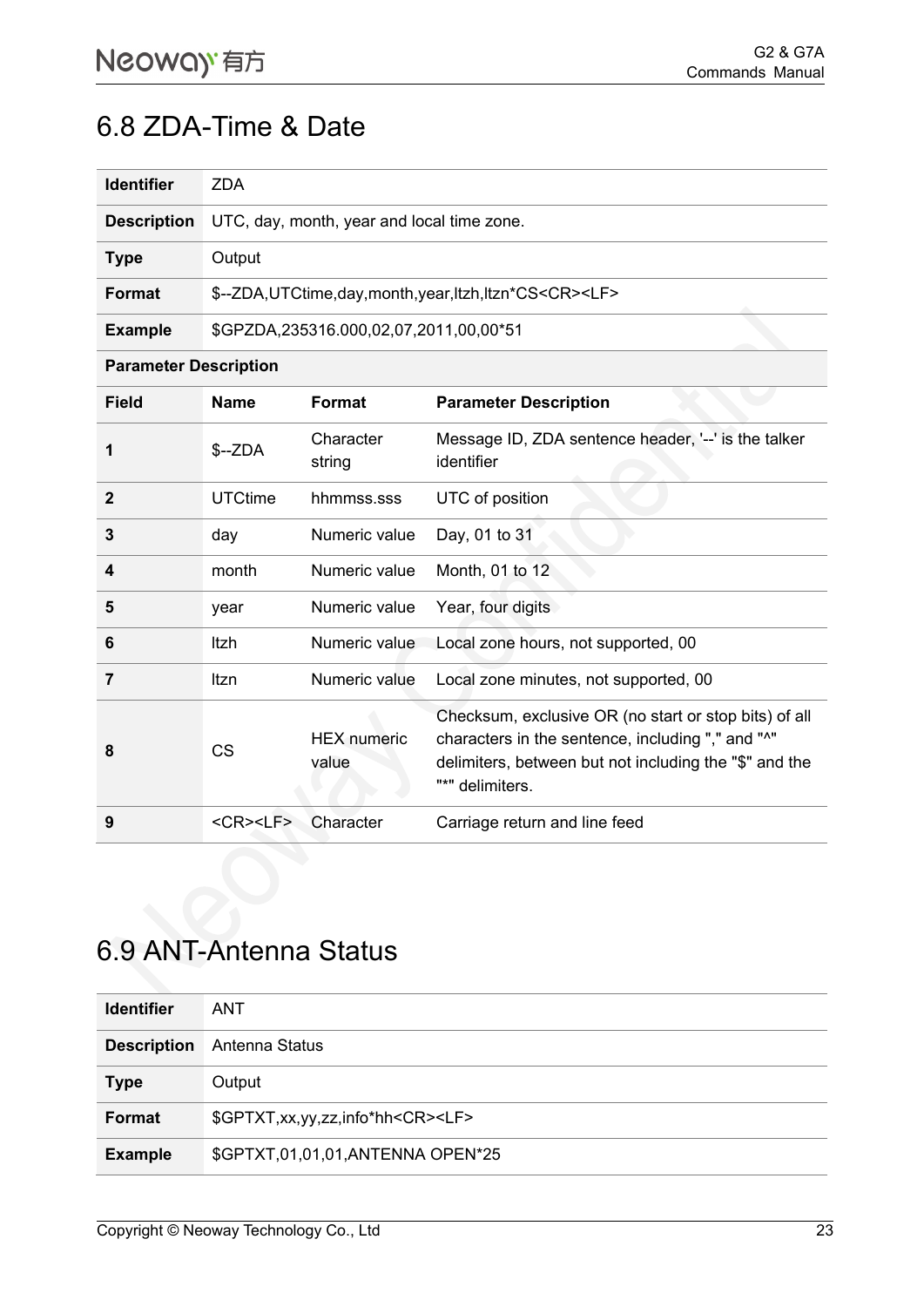#### <span id="page-26-0"></span>6.8 ZDA-Time & Date

| <b>Identifier</b>  | <b>ZDA</b>                                                           |
|--------------------|----------------------------------------------------------------------|
| <b>Description</b> | UTC, day, month, year and local time zone.                           |
| <b>Type</b>        | Output                                                               |
| Format             | \$--ZDA, UTCtime, day, month, year, ltzh, ltzn*CS <cr><lf></lf></cr> |
| <b>Example</b>     | \$GPZDA,235316.000,02,07,2011,00,00*51                               |

**Parameter Description**

| Field        | <b>Name</b>                        | Format                      | <b>Parameter Description</b>                                                                                                                                                                            |
|--------------|------------------------------------|-----------------------------|---------------------------------------------------------------------------------------------------------------------------------------------------------------------------------------------------------|
| 1            | $S-ZDA$                            | Character<br>string         | Message ID, ZDA sentence header, '--' is the talker<br>identifier                                                                                                                                       |
| $\mathbf{2}$ | <b>UTCtime</b>                     | hhmmss.sss                  | UTC of position                                                                                                                                                                                         |
| 3            | day                                | Numeric value               | Day, 01 to 31                                                                                                                                                                                           |
| 4            | month                              | Numeric value               | Month, 01 to 12                                                                                                                                                                                         |
| 5            | year                               | Numeric value               | Year, four digits                                                                                                                                                                                       |
| 6            | Itzh                               | Numeric value               | Local zone hours, not supported, 00                                                                                                                                                                     |
| 7            | ltzn                               | Numeric value               | Local zone minutes, not supported, 00                                                                                                                                                                   |
| 8            | <b>CS</b>                          | <b>HEX</b> numeric<br>value | Checksum, exclusive OR (no start or stop bits) of all<br>characters in the sentence, including "," and " <sup>^</sup> "<br>delimiters, between but not including the "\$" and the<br>***<br>delimiters. |
| 9            | $<$ CR $>$ <lf<math>&gt;</lf<math> | Character                   | Carriage return and line feed                                                                                                                                                                           |

### <span id="page-26-1"></span>6.9 ANT-Antenna Status

| <b>Identifier</b>  | <b>ANT</b>                                      |  |  |  |
|--------------------|-------------------------------------------------|--|--|--|
| <b>Description</b> | Antenna Status                                  |  |  |  |
| <b>Type</b>        | Output                                          |  |  |  |
| <b>Format</b>      | \$GPTXT, xx, yy, zz, info*hh <cr><lf></lf></cr> |  |  |  |
| <b>Example</b>     | \$GPTXT,01,01,01,ANTENNA OPEN*25                |  |  |  |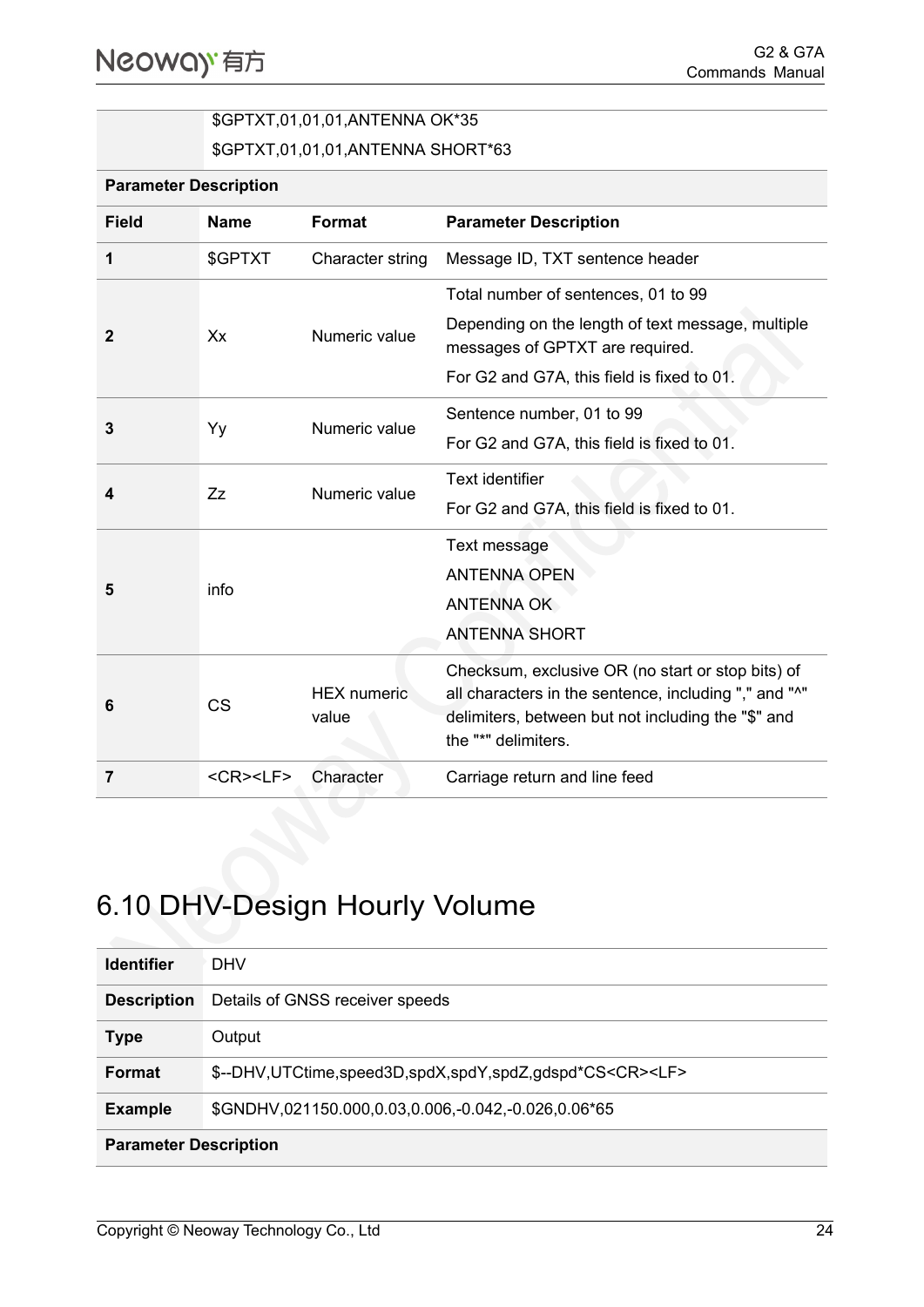**Parameter Description**

#### \$GPTXT,01,01,01,ANTENNA OK\*35

\$GPTXT,01,01,01,ANTENNA SHORT\*63

| <b>Field</b>   | <b>Name</b>                        | <b>Format</b>               | <b>Parameter Description</b>                                                         |
|----------------|------------------------------------|-----------------------------|--------------------------------------------------------------------------------------|
| 1              | \$GPTXT                            | Character string            | Message ID, TXT sentence header                                                      |
|                | Xx                                 | Numeric value               | Total number of sentences, 01 to 99                                                  |
| $\mathbf{2}$   |                                    |                             | Depending on the length of text message, multiple<br>messages of GPTXT are required. |
|                |                                    |                             | For G2 and G7A, this field is fixed to 01.                                           |
| 3              | Yy                                 | Numeric value               | Sentence number, 01 to 99                                                            |
|                |                                    |                             | For G2 and G7A, this field is fixed to 01.                                           |
| 4              | Zz                                 | Numeric value               | Text identifier                                                                      |
|                |                                    |                             | For G2 and G7A, this field is fixed to 01.                                           |
|                | info                               |                             | Text message                                                                         |
| 5              |                                    |                             | <b>ANTENNA OPEN</b>                                                                  |
|                |                                    |                             | <b>ANTENNA OK</b>                                                                    |
|                |                                    |                             | <b>ANTENNA SHORT</b>                                                                 |
|                | <b>CS</b>                          | <b>HEX</b> numeric<br>value | Checksum, exclusive OR (no start or stop bits) of                                    |
| 6              |                                    |                             | all characters in the sentence, including "," and "^"                                |
|                |                                    |                             | delimiters, between but not including the "\$" and<br>the "*" delimiters.            |
| $\overline{7}$ | $<$ CR $>$ <lf<math>&gt;</lf<math> | Character                   | Carriage return and line feed                                                        |

## <span id="page-27-0"></span>6.10 DHV-Design Hourly Volume

| <b>Identifier</b>            | <b>DHV</b>                                                         |  |
|------------------------------|--------------------------------------------------------------------|--|
| <b>Description</b>           | Details of GNSS receiver speeds                                    |  |
| <b>Type</b>                  | Output                                                             |  |
| <b>Format</b>                | \$--DHV,UTCtime,speed3D,spdX,spdY,spdZ,gdspd*CS <cr><lf></lf></cr> |  |
| <b>Example</b>               | \$GNDHV,021150.000,0.03,0.006,-0.042,-0.026,0.06*65                |  |
| <b>Parameter Description</b> |                                                                    |  |